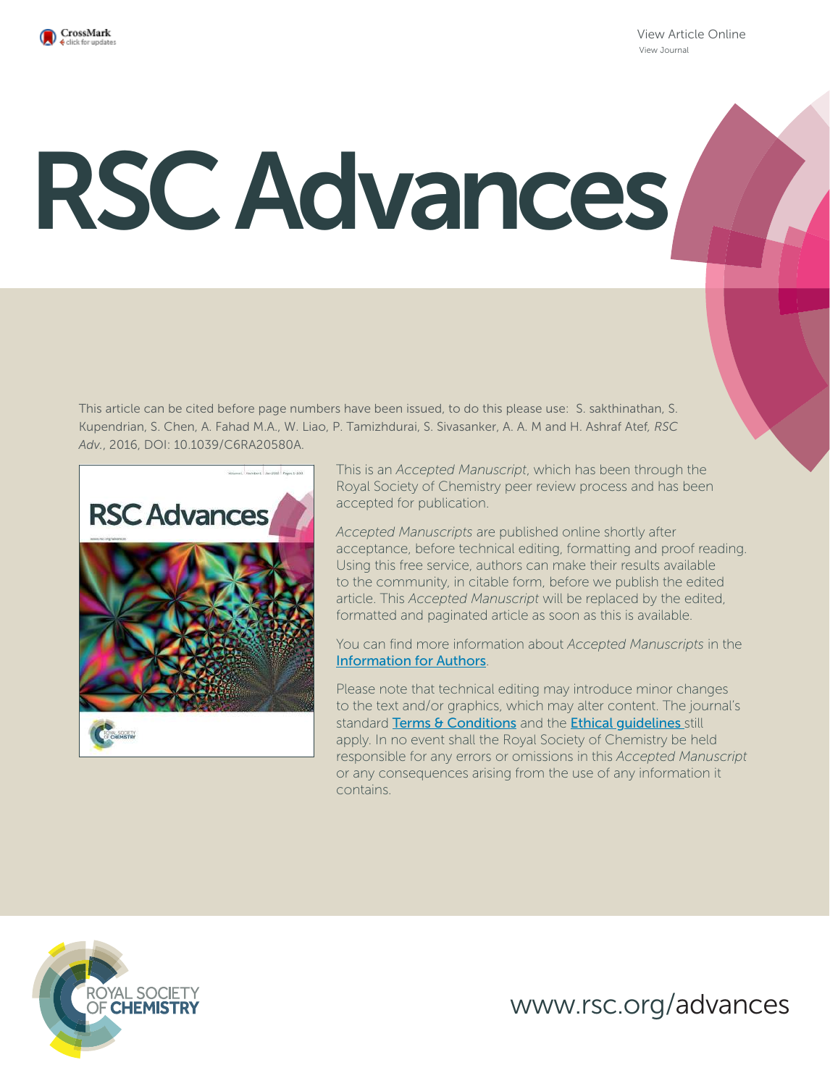

View Article Online View Journal

# RSC Advances

This article can be cited before page numbers have been issued, to do this please use: S. sakthinathan, S. Kupendrian, S. Chen, A. Fahad M.A., W. Liao, P. Tamizhdurai, S. Sivasanker, A. A. M and H. Ashraf Atef*, RSC Adv.*, 2016, DOI: 10.1039/C6RA20580A.



This is an *Accepted Manuscript*, which has been through the Royal Society of Chemistry peer review process and has been accepted for publication.

*Accepted Manuscripts* are published online shortly after acceptance, before technical editing, formatting and proof reading. Using this free service, authors can make their results available to the community, in citable form, before we publish the edited article. This *Accepted Manuscript* will be replaced by the edited, formatted and paginated article as soon as this is available.

You can find more information about *Accepted Manuscripts* in the Information for Authors.

Please note that technical editing may introduce minor changes to the text and/or graphics, which may alter content. The journal's standard Terms & Conditions and the Ethical quidelines still apply. In no event shall the Royal Society of Chemistry be held responsible for any errors or omissions in this *Accepted Manuscript* or any consequences arising from the use of any information it contains.



www.rsc.org/advances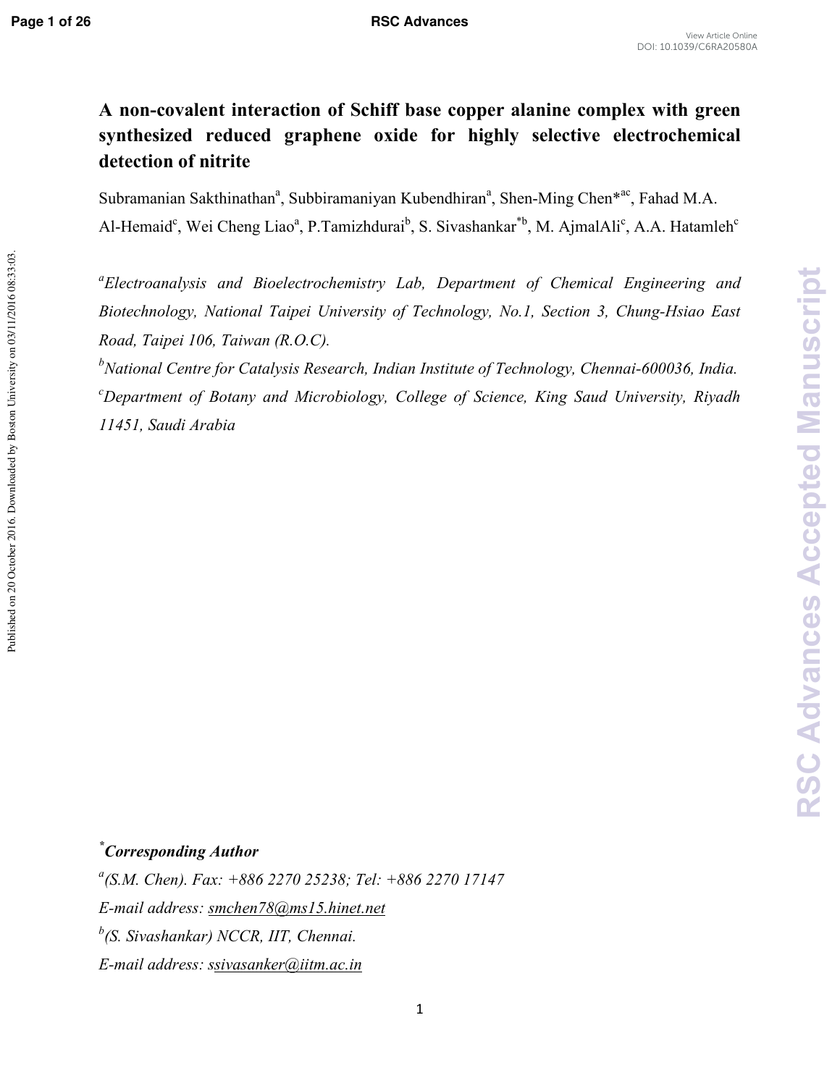Published on 20 October 2016. Downloaded by Boston University on 03/11/2016 08:33:03.

# A non-covalent interaction of Schiff base copper alanine complex with green **synthesized reduced graphene oxide for highly selective electrochemical detection of nitrite**

Subramanian Sakthinathan<sup>a</sup>, Subbiramaniyan Kubendhiran<sup>a</sup>, Shen-Ming Chen<sup>\*ac</sup>, Fahad M.A. Al-Hemaid<sup>c</sup>, Wei Cheng Liao<sup>a</sup>, P.Tamizhdurai<sup>b</sup>, S. Sivashankar<sup>\*b</sup>, M. AjmalAli<sup>c</sup>, A.A. Hatamleh<sup>c</sup>

*a Electroanalysis and Bioelectrochemistry Lab, Department of Chemical Engineering and Biotechnology, National Taipei University of Technology, No.1, Section 3, Chung-Hsiao East Road, Taipei 106, Taiwan (R.O.C).* 

<sup>*b*</sup>National Centre for Catalysis Research, Indian Institute of Technology, Chennai-600036, India. *<sup>c</sup>Department of Botany and Microbiology, College of Science, King Saud University, Riyadh 11451, Saudi Arabia* 

## *<sup>\*</sup> Corresponding Author*

*a (S.M. Chen). Fax: +886 2270 25238; Tel: +886 2270 17147 E-mail address: smchen78@ms15.hinet.net b (S. Sivashankar) NCCR, IIT, Chennai. E-mail address: ssivasanker@iitm.ac.in*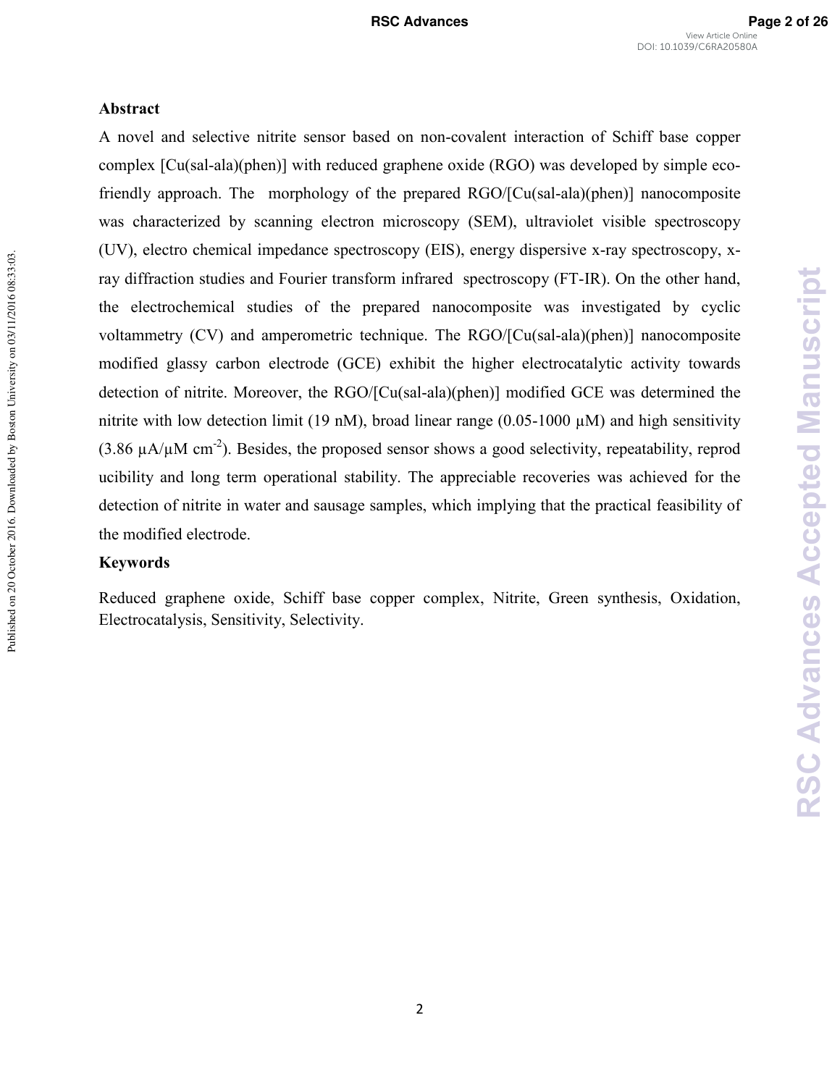#### **Abstract**

A novel and selective nitrite sensor based on noncovalent interaction of Schiff base copper complex  $[Cu(sal-ala)(phen)]$  with reduced graphene oxide  $(RGO)$  was developed by simple ecofriendly approach. The morphology of the prepared RGO/[Cu(sal-ala)(phen)] nanocomposite was characterized by scanning electron microscopy (SEM), ultraviolet visible spectroscopy  $(UV)$ , electro chemical impedance spectroscopy (EIS), energy dispersive x-ray spectroscopy, xray diffraction studies and Fourier transform infrared spectroscopy (FT-IR). On the other hand, the electrochemical studies of the prepared nanocomposite was investigated by cyclic voltammetry (CV) and amperometric technique. The RGO/[Cu(sal-ala)(phen)] nanocomposite modified glassy carbon electrode (GCE) exhibit the higher electrocatalytic activity towards detection of nitrite. Moreover, the RGO/[Cu(sal-ala)(phen)] modified GCE was determined the nitrite with low detection limit (19 nM), broad linear range (0.05-1000  $\mu$ M) and high sensitivity (3.86  $\mu$ A/ $\mu$ M cm<sup>-2</sup>). Besides, the proposed sensor shows a good selectivity, repeatability, reprod ucibility and long term operational stability. The appreciable recoveries was achieved for the detection of nitrite in water and sausage samples, which implying that the practical feasibility of the modified electrode.

#### **Keywords**

Reduced graphene oxide, Schiff base copper complex, Nitrite, Green synthesis, Oxidation, Electrocatalysis, Sensitivity, Selectivity.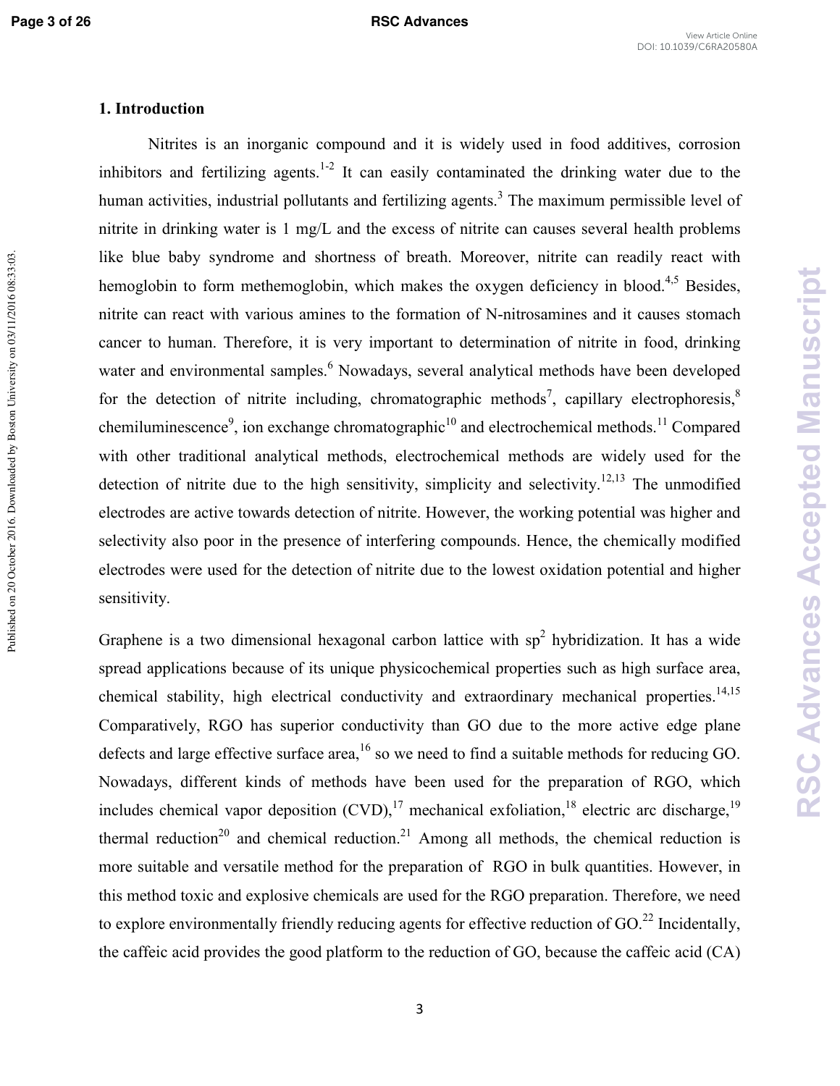Published on 20 October 2016. Downloaded by Boston University on 03/11/2016 08:33:03.

#### **1. Introduction**

Nitrites is an inorganic compound and it is widely used in food additives, corrosion inhibitors and fertilizing agents.<sup>1-2</sup> It can easily contaminated the drinking water due to the human activities, industrial pollutants and fertilizing agents.<sup>3</sup> The maximum permissible level of nitrite in drinking water is 1 mg/L and the excess of nitrite can causes several health problems like blue baby syndrome and shortness of breath. Moreover, nitrite can readily react with hemoglobin to form methemoglobin, which makes the oxygen deficiency in blood.<sup>4,5</sup> Besides, nitrite can react with various amines to the formation of N-nitrosamines and it causes stomach cancer to human. Therefore, it is very important to determination of nitrite in food, drinking water and environmental samples.<sup>6</sup> Nowadays, several analytical methods have been developed for the detection of nitrite including, chromatographic methods<sup>7</sup>, capillary electrophoresis,  $\delta$ chemiluminescence<sup>9</sup>, ion exchange chromatographic<sup>10</sup> and electrochemical methods.<sup>11</sup> Compared with other traditional analytical methods, electrochemical methods are widely used for the detection of nitrite due to the high sensitivity, simplicity and selectivity.<sup>12,13</sup> The unmodified electrodes are active towards detection of nitrite. However, the working potential was higher and selectivity also poor in the presence of interfering compounds. Hence, the chemically modified electrodes were used for the detection of nitrite due to the lowest oxidation potential and higher sensitivity.

Graphene is a two dimensional hexagonal carbon lattice with  $sp<sup>2</sup>$  hybridization. It has a wide spread applications because of its unique physicochemical properties such as high surface area, chemical stability, high electrical conductivity and extraordinary mechanical properties.<sup>14,15</sup> Comparatively, RGO has superior conductivity than GO due to the more active edge plane defects and large effective surface area,<sup>16</sup> so we need to find a suitable methods for reducing GO. Nowadays, different kinds of methods have been used for the preparation of RGO, which includes chemical vapor deposition  $(CVD)$ ,<sup>17</sup> mechanical exfoliation,<sup>18</sup> electric arc discharge,<sup>19</sup> thermal reduction<sup>20</sup> and chemical reduction.<sup>21</sup> Among all methods, the chemical reduction is more suitable and versatile method for the preparation of RGO in bulk quantities. However, in this method toxic and explosive chemicals are used for the RGO preparation. Therefore, we need to explore environmentally friendly reducing agents for effective reduction of GO.<sup>22</sup> Incidentally. the caffeic acid provides the good platform to the reduction of GO, because the caffeic acid (CA)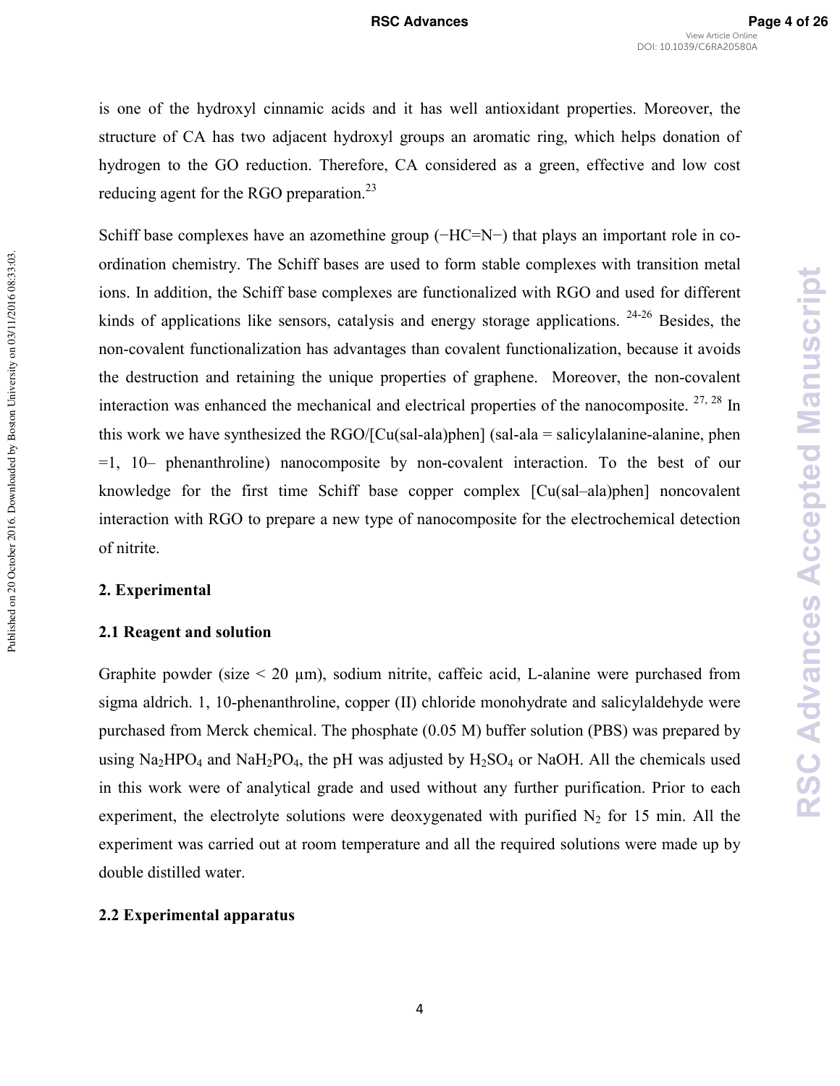is one of the hydroxyl cinnamic acids and it has well antioxidant properties. Moreover, the structure of CA has two adjacent hydroxyl groups an aromatic ring, which helps donation of hydrogen to the GO reduction. Therefore, CA considered as a green, effective and low cost reducing agent for the RGO preparation.<sup>23</sup>

Schiff base complexes have an azomethine group (−HC=N−) that plays an important role in coordination chemistry. The Schiff bases are used to form stable complexes with transition metal ions. In addition, the Schiff base complexes are functionalized with RGO and used for different kinds of applications like sensors, catalysis and energy storage applications.  $24-26$  Besides, the non-covalent functionalization has advantages than covalent functionalization, because it avoids the destruction and retaining the unique properties of graphene. Moreover, the noncovalent interaction was enhanced the mechanical and electrical properties of the nanocomposite.  $27, 28$  In this work we have synthesized the  $RGO/[Cu(sal-ala)phen]$  (sal-ala = salicylalanine-alanine, phen  $=1$ , 10– phenanthroline) nanocomposite by non-covalent interaction. To the best of our knowledge for the first time Schiff base copper complex [Cu(sal–ala)phen] noncovalent interaction with RGO to prepare a new type of nanocomposite for the electrochemical detection of nitrite.

#### **2. Experimental**

Published on 20 October 2016. Downloaded by Boston University on 03/11/2016 08:33:03.

Published on 20 October 2016. Downloaded by Boston University on 03/11/2016 08:33:03.

#### **2.1 Reagent and solution**

Graphite powder (size  $\leq 20 \mu m$ ), sodium nitrite, caffeic acid, L-alanine were purchased from sigma aldrich. 1, 10-phenanthroline, copper  $(II)$  chloride monohydrate and salicylaldehyde were purchased from Merck chemical. The phosphate (0.05 M) buffer solution (PBS) was prepared by using  $Na<sub>2</sub>HPO<sub>4</sub>$  and  $NaH<sub>2</sub>PO<sub>4</sub>$ , the pH was adjusted by  $H<sub>2</sub>SO<sub>4</sub>$  or NaOH. All the chemicals used in this work were of analytical grade and used without any further purification. Prior to each experiment, the electrolyte solutions were deoxygenated with purified  $N_2$  for 15 min. All the experiment was carried out at room temperature and all the required solutions were made up by double distilled water.

#### **2.2 Experimental apparatus**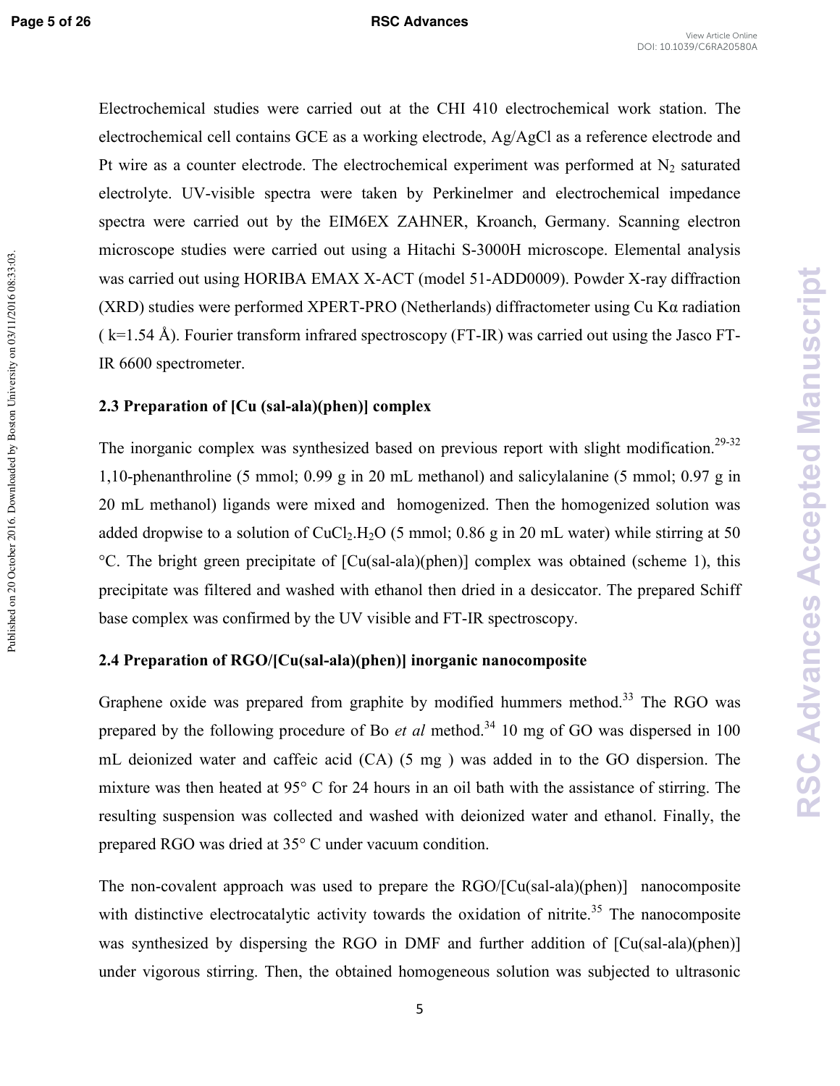Electrochemical studies were carried out at the CHI 410 electrochemical work station. The electrochemical cell contains GCE as a working electrode, Ag/AgCl as a reference electrode and Pt wire as a counter electrode. The electrochemical experiment was performed at  $N_2$  saturated electrolyte. UV-visible spectra were taken by Perkinelmer and electrochemical impedance spectra were carried out by the EIM6EX ZAHNER, Kroanch, Germany. Scanning electron microscope studies were carried out using a Hitachi S-3000H microscope. Elemental analysis was carried out using HORIBA EMAX X-ACT (model 51-ADD0009). Powder X-ray diffraction (XRD) studies were performed XPERT-PRO (Netherlands) diffractometer using Cu K $\alpha$  radiation  $(k=1.54 \text{ Å})$ . Fourier transform infrared spectroscopy (FT-IR) was carried out using the Jasco FT-IR 6600 spectrometer.

#### **2.3 Preparation of [Cu (sal-ala)(phen)] complex**

The inorganic complex was synthesized based on previous report with slight modification.<sup>29-32</sup> 1,10-phenanthroline (5 mmol; 0.99 g in 20 mL methanol) and salicylalanine (5 mmol; 0.97 g in 20 mL methanol) ligands were mixed and homogenized. Then the homogenized solution was added dropwise to a solution of  $CuCl<sub>2</sub>H<sub>2</sub>O$  (5 mmol; 0.86 g in 20 mL water) while stirring at 50  ${}^{\circ}$ C. The bright green precipitate of [Cu(sal-ala)(phen)] complex was obtained (scheme 1), this precipitate was filtered and washed with ethanol then dried in a desiccator. The prepared Schiff base complex was confirmed by the UV visible and FT-IR spectroscopy.

#### **2.4 Preparation of RGO/[Cu(sal-ala)(phen)] inorganic nanocomposite**

Graphene oxide was prepared from graphite by modified hummers method.<sup>33</sup> The RGO was prepared by the following procedure of Bo *et al* method.<sup>34</sup> 10 mg of GO was dispersed in 100 mL deionized water and caffeic acid (CA) (5 mg ) was added in to the GO dispersion. The mixture was then heated at 95° C for 24 hours in an oil bath with the assistance of stirring. The resulting suspension was collected and washed with deionized water and ethanol. Finally, the prepared RGO was dried at 35° C under vacuum condition.

The non-covalent approach was used to prepare the  $RGO/[Cu(sal-ala)(phen)]$  nanocomposite with distinctive electrocatalytic activity towards the oxidation of nitrite.<sup>35</sup> The nanocomposite was synthesized by dispersing the RGO in DMF and further addition of  $\lceil Cu(sal-ala)(phen) \rceil$ under vigorous stirring. Then, the obtained homogeneous solution was subjected to ultrasonic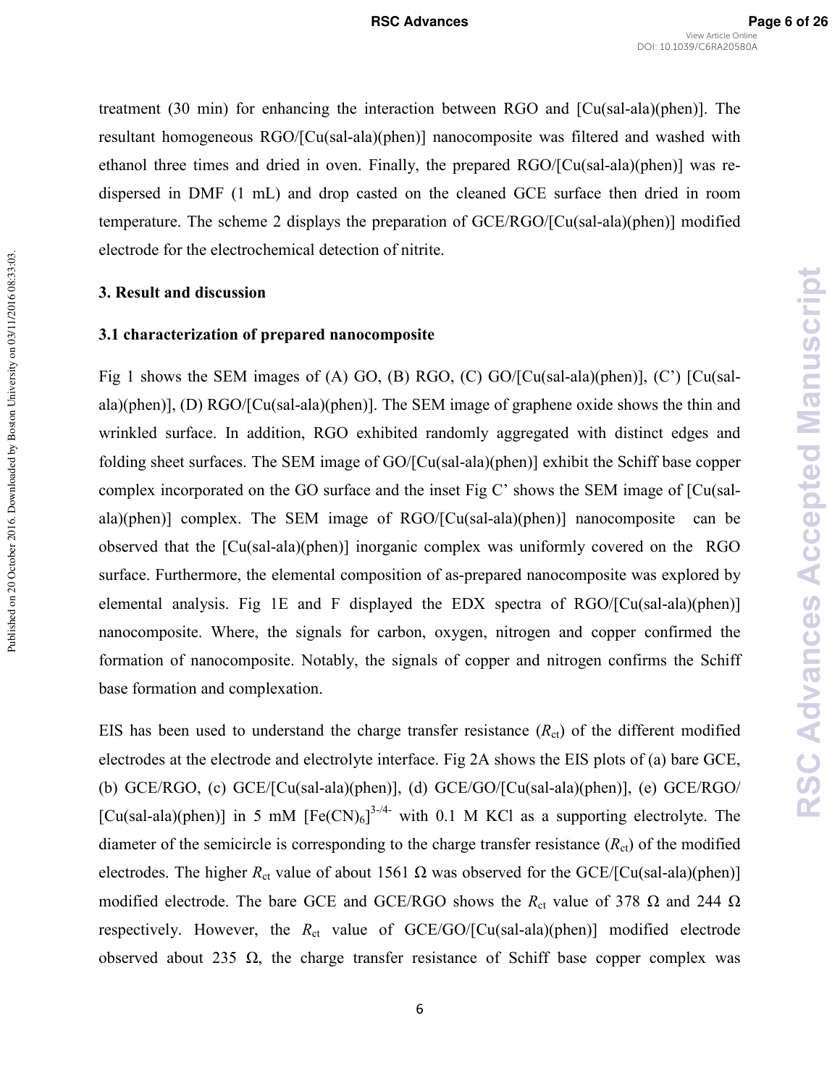treatment  $(30 \text{ min})$  for enhancing the interaction between RGO and  $\lbrack Cu(sal-ala)(phen)\rbrack$ . The resultant homogeneous RGO/[Cu(sal-ala)(phen)] nanocomposite was filtered and washed with ethanol three times and dried in oven. Finally, the prepared RGO/[Cu(sal-ala)(phen)] was redispersed in DMF (1 mL) and drop casted on the cleaned GCE surface then dried in room temperature. The scheme 2 displays the preparation of GCE/RGO/[Cu(sal-ala)(phen)] modified electrode for the electrochemical detection of nitrite.

#### **3. Result and discussion**

#### **3.1 characterization of prepared nanocomposite**

Fig 1 shows the SEM images of (A) GO, (B) RGO, (C) GO/[Cu(sal-ala)(phen)], (C') [Cu(salala)(phen)], (D)  $RGO/[Cu(sal-ala)(phen)]$ . The SEM image of graphene oxide shows the thin and wrinkled surface. In addition, RGO exhibited randomly aggregated with distinct edges and folding sheet surfaces. The SEM image of GO/[Cu(sal-ala)(phen)] exhibit the Schiff base copper complex incorporated on the GO surface and the inset Fig C' shows the SEM image of [Cu(sal ala)(phen)] complex. The SEM image of  $RGO/[Cu(sal-ala)(phen)]$  nanocomposite can be observed that the  $\lceil Cu(sal-ala)(phen) \rceil$  inorganic complex was uniformly covered on the RGO surface. Furthermore, the elemental composition of as-prepared nanocomposite was explored by elemental analysis. Fig 1E and F displayed the EDX spectra of  $RGO/[Cu(sal-ala)(phen)]$ nanocomposite. Where, the signals for carbon, oxygen, nitrogen and copper confirmed the formation of nanocomposite. Notably, the signals of copper and nitrogen confirms the Schiff base formation and complexation.

EIS has been used to understand the charge transfer resistance  $(R<sub>ct</sub>)$  of the different modified electrodes at the electrode and electrolyte interface. Fig 2A shows the EIS plots of (a) bare GCE, (b) GCE/RGO, (c) GCE/[Cu(sal-ala)(phen)], (d) GCE/GO/[Cu(sal-ala)(phen)], (e) GCE/RGO/ [Cu(sal-ala)(phen)] in 5 mM  $[Fe(CN)_6]^{3-4}$  with 0.1 M KCl as a supporting electrolyte. The diameter of the semicircle is corresponding to the charge transfer resistance  $(R<sub>ct</sub>)$  of the modified electrodes. The higher  $R_{ct}$  value of about 1561  $\Omega$  was observed for the GCE/[Cu(sal-ala)(phen)] modified electrode. The bare GCE and GCE/RGO shows the  $R_{ct}$  value of 378  $\Omega$  and 244  $\Omega$ respectively. However, the  $R_{ct}$  value of GCE/GO/[Cu(sal-ala)(phen)] modified electrode observed about 235  $\Omega$ , the charge transfer resistance of Schiff base copper complex was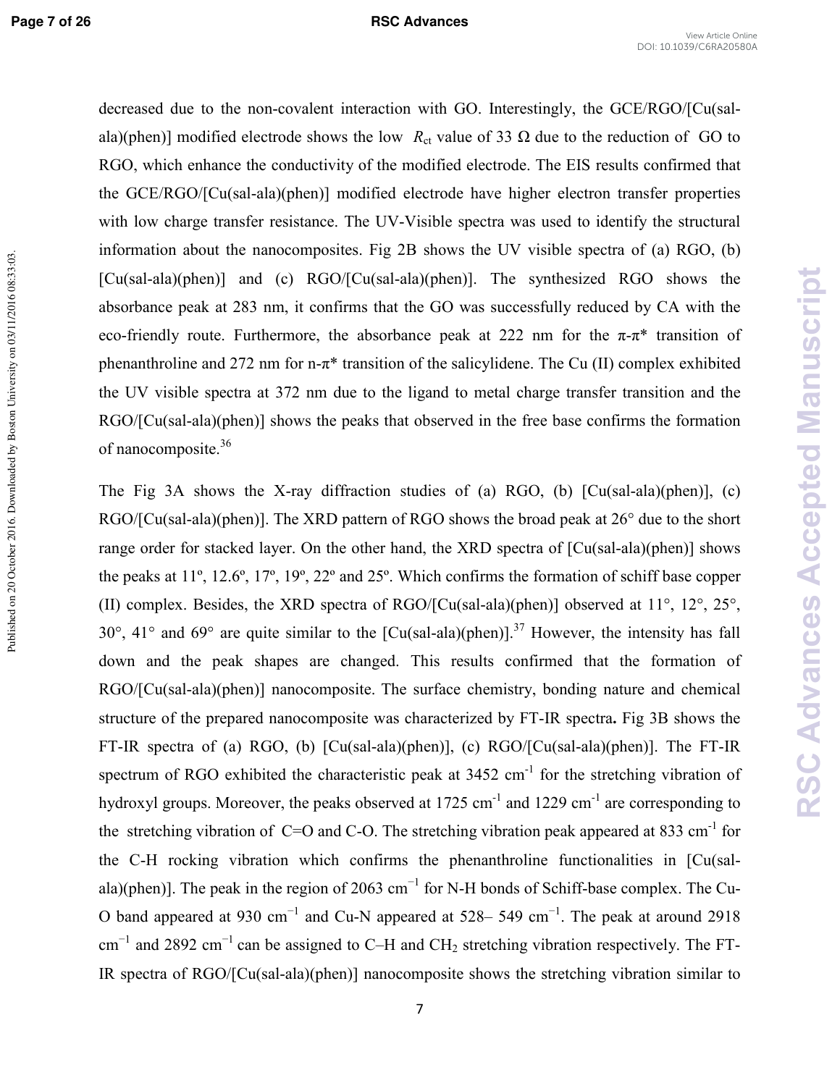Published on 20 October 2016. Downloaded by Boston University on 03/11/2016 08:33:03.

#### **Page 7 of 26 RSC Advances**

decreased due to the non-covalent interaction with GO. Interestingly, the GCE/RGO/[Cu(salala)(phen)] modified electrode shows the low  $R_{ct}$  value of 33  $\Omega$  due to the reduction of GO to RGO, which enhance the conductivity of the modified electrode. The EIS results confirmed that the GCE/RGO/[Cu(sal-ala)(phen)] modified electrode have higher electron transfer properties with low charge transfer resistance. The UV-Visible spectra was used to identify the structural information about the nanocomposites. Fig 2B shows the UV visible spectra of (a) RGO, (b)  $[Cu(sal-ala)(phen)]$  and (c)  $RGO/[Cu(sal-ala)(phen)]$ . The synthesized RGO shows the absorbance peak at 283 nm, it confirms that the GO was successfully reduced by CA with the eco-friendly route. Furthermore, the absorbance peak at 222 nm for the  $\pi$ - $\pi$ <sup>\*</sup> transition of phenanthroline and 272 nm for n- $\pi^*$  transition of the salicylidene. The Cu (II) complex exhibited the UV visible spectra at 372 nm due to the ligand to metal charge transfer transition and the  $RGO/[Cu(sal-ala)(phen)]$  shows the peaks that observed in the free base confirms the formation of nanocomposite.<sup>36</sup>

The Fig 3A shows the X-ray diffraction studies of (a) RGO, (b)  $\lbrack Cu(sal-ala)(phen) \rbrack$ , (c)  $RGO/[Cu(sal-ala)(phen)]$ . The XRD pattern of RGO shows the broad peak at  $26^{\circ}$  due to the short range order for stacked layer. On the other hand, the XRD spectra of  $\lceil Cu(sal-ala)(phen) \rceil$  shows the peaks at 11º, 12.6º, 17º, 19º, 22º and 25º. Which confirms the formation of schiff base copper (II) complex. Besides, the XRD spectra of  $RGO/[Cu(sal-ala)(phen)]$  observed at  $11^{\circ}$ ,  $12^{\circ}$ ,  $25^{\circ}$ , 30°, 41° and 69° are quite similar to the  $\left[\text{Cu(sal-ala)(phen)}\right]$ .<sup>37</sup> However, the intensity has fall down and the peak shapes are changed. This results confirmed that the formation of  $RGO/[Cu(sal-ala)(phen)]$  nanocomposite. The surface chemistry, bonding nature and chemical structure of the prepared nanocomposite was characterized by FT-IR spectra. Fig 3B shows the FT-IR spectra of (a) RGO, (b)  $\lceil Cu(sal-ala)(phen) \rceil$ , (c) RGO/ $\lceil Cu(sal-ala)(phen) \rceil$ . The FT-IR spectrum of RGO exhibited the characteristic peak at  $3452 \text{ cm}^{-1}$  for the stretching vibration of hydroxyl groups. Moreover, the peaks observed at  $1725 \text{ cm}^{-1}$  and  $1229 \text{ cm}^{-1}$  are corresponding to the stretching vibration of C=O and C-O. The stretching vibration peak appeared at 833 cm<sup>-1</sup> for the C-H rocking vibration which confirms the phenanthroline functionalities in [Cu(salala)(phen)]. The peak in the region of 2063 cm<sup>-1</sup> for N-H bonds of Schiff-base complex. The Cu-O band appeared at 930 cm<sup>-1</sup> and Cu-N appeared at 528– 549 cm<sup>-1</sup>. The peak at around 2918 cm<sup>-1</sup> and 2892 cm<sup>-1</sup> can be assigned to C–H and CH<sub>2</sub> stretching vibration respectively. The FT-IR spectra of  $RGO/[Cu(sal-ala)(phen)]$  nanocomposite shows the stretching vibration similar to

7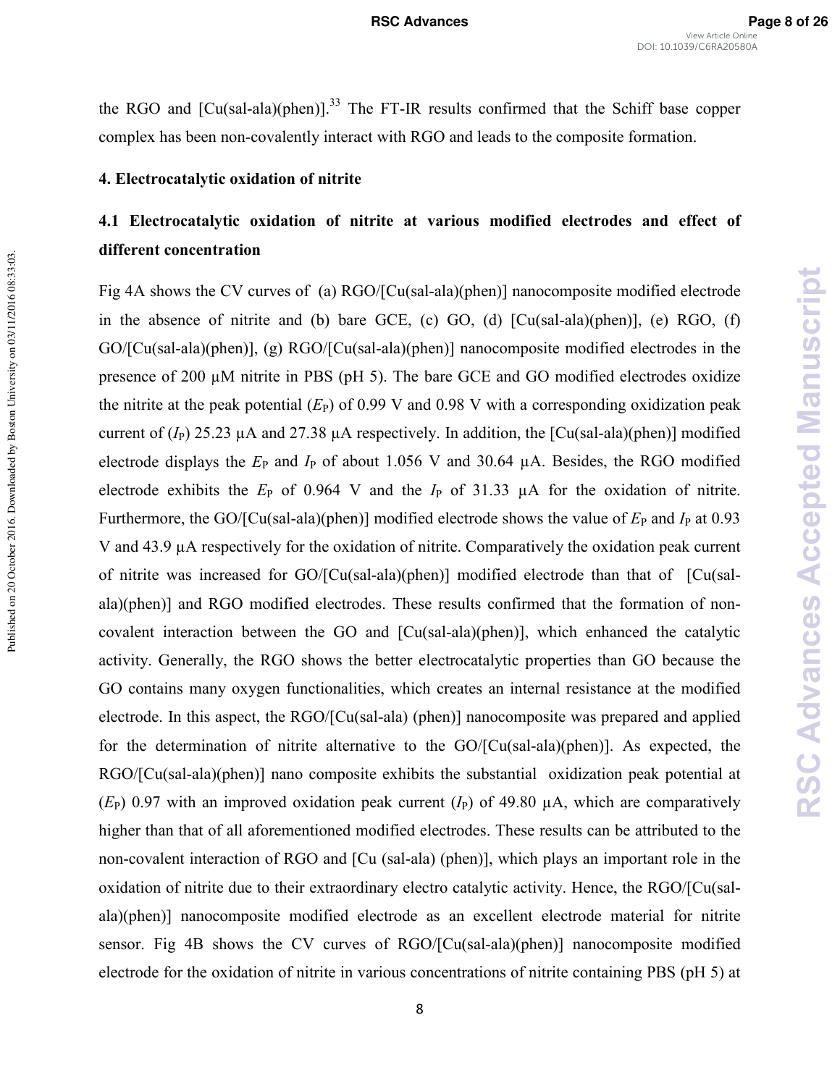the RGO and  $[Cu(sal-ala)(phen)]^{33}$  The FT-IR results confirmed that the Schiff base copper complex has been non-covalently interact with RGO and leads to the composite formation.

#### **4. Electrocatalytic oxidation of nitrite**

# **4.1 Electrocatalytic oxidation of nitrite at various modified electrodes and effect of different concentration**

Fig 4A shows the CV curves of (a) RGO/[Cu(sal-ala)(phen)] nanocomposite modified electrode in the absence of nitrite and (b) bare GCE, (c) GO, (d)  $[Cu(sal-ala)(phen)]$ , (e) RGO, (f) GO/[Cu(sal-ala)(phen)], (g) RGO/[Cu(sal-ala)(phen)] nanocomposite modified electrodes in the presence of 200 µM nitrite in PBS (pH 5). The bare GCE and GO modified electrodes oxidize the nitrite at the peak potential  $(E_P)$  of 0.99 V and 0.98 V with a corresponding oxidization peak current of  $(I_P)$  25.23  $\mu$ A and 27.38  $\mu$ A respectively. In addition, the [Cu(sal-ala)(phen)] modified electrode displays the  $E_P$  and  $I_P$  of about 1.056 V and 30.64  $\mu$ A. Besides, the RGO modified electrode exhibits the  $E_P$  of 0.964 V and the  $I_P$  of 31.33  $\mu$ A for the oxidation of nitrite. Furthermore, the GO/[Cu(sal-ala)(phen)] modified electrode shows the value of  $E_P$  and  $I_P$  at 0.93 V and 43.9 µA respectively for the oxidation of nitrite. Comparatively the oxidation peak current of nitrite was increased for  $GO/[Cu(sal-ala)(phen)]$  modified electrode than that of  $[Cu(sal-ala)]$ ala)(phen)] and RGO modified electrodes. These results confirmed that the formation of non covalent interaction between the GO and  $\lbrack Cu (sal-ala)(phen) \rbrack$ , which enhanced the catalytic activity. Generally, the RGO shows the better electrocatalytic properties than GO because the GO contains many oxygen functionalities, which creates an internal resistance at the modified electrode. In this aspect, the  $RGO/[Cu(sal-ala)$  (phen)] nanocomposite was prepared and applied for the determination of nitrite alternative to the  $GO/[Cu(sal-ala)(phen)]$ . As expected, the  $RGO/[Cu(sal-ala)(phen)]$  nano composite exhibits the substantial oxidization peak potential at  $(E_P)$  0.97 with an improved oxidation peak current  $(I_P)$  of 49.80  $\mu$ A, which are comparatively higher than that of all aforementioned modified electrodes. These results can be attributed to the non-covalent interaction of RGO and [Cu (sal-ala) (phen)], which plays an important role in the oxidation of nitrite due to their extraordinary electro catalytic activity. Hence, the RGO/[Cu(sal ala)(phen)] nanocomposite modified electrode as an excellent electrode material for nitrite sensor. Fig 4B shows the CV curves of RGO/[Cu(sal-ala)(phen)] nanocomposite modified electrode for the oxidation of nitrite in various concentrations of nitrite containing PBS (pH 5) at

Published on 20 October 2016. Downloaded by Boston University on 03/11/2016 08:33:03.

Published on 20 October 2016. Downloaded by Boston University on 03/11/2016 08:33:03.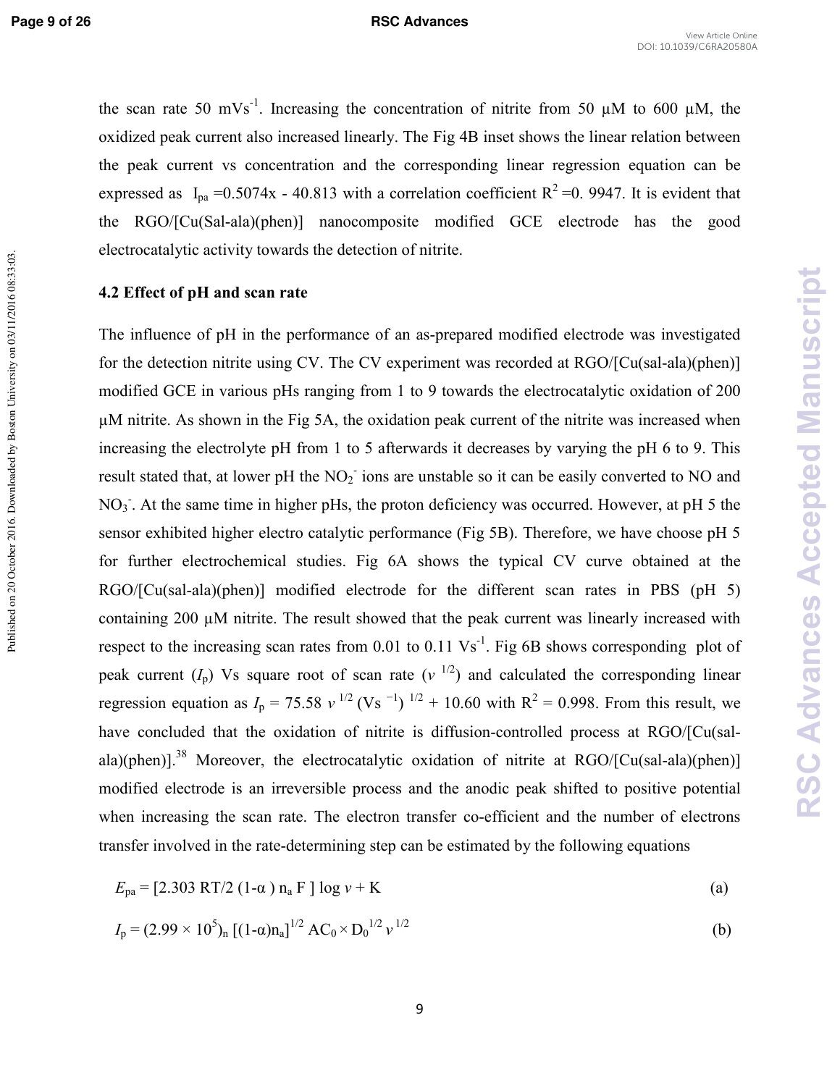Published on 20 October 2016. Downloaded by Boston University on 03/11/2016 08:33:03.

the scan rate 50 mVs<sup>-1</sup>. Increasing the concentration of nitrite from 50  $\mu$ M to 600  $\mu$ M, the oxidized peak current also increased linearly. The Fig 4B inset shows the linear relation between the peak current vs concentration and the corresponding linear regression equation can be expressed as  $I_{pa} = 0.5074x - 40.813$  with a correlation coefficient  $R^2 = 0.9947$ . It is evident that the RGO/[Cu(Sal-ala)(phen)] nanocomposite modified GCE electrode has the good electrocatalytic activity towards the detection of nitrite.

#### **4.2 Effect of pH and scan rate**

The influence of pH in the performance of an as-prepared modified electrode was investigated for the detection nitrite using CV. The CV experiment was recorded at  $RGO/[Cu(sal-ala)(phen)]$ modified GCE in various pHs ranging from 1 to 9 towards the electrocatalytic oxidation of 200 µM nitrite. As shown in the Fig 5A, the oxidation peak current of the nitrite was increased when increasing the electrolyte pH from 1 to 5 afterwards it decreases by varying the pH 6 to 9. This result stated that, at lower pH the  $NO<sub>2</sub>$  ions are unstable so it can be easily converted to NO and NO<sub>3</sub>. At the same time in higher pHs, the proton deficiency was occurred. However, at pH 5 the sensor exhibited higher electro catalytic performance (Fig 5B). Therefore, we have choose pH 5 for further electrochemical studies. Fig 6A shows the typical CV curve obtained at the  $RGO/[Cu(sal-ala)(phen)]$  modified electrode for the different scan rates in PBS (pH 5) containing 200 µM nitrite. The result showed that the peak current was linearly increased with respect to the increasing scan rates from 0.01 to 0.11  $\text{Vs}^{-1}$ . Fig 6B shows corresponding plot of peak current  $(I_p)$  Vs square root of scan rate  $(v<sup>1/2</sup>)$  and calculated the corresponding linear regression equation as  $I_p = 75.58 v^{1/2} (Vs^{-1})^{1/2} + 10.60$  with  $R^2 = 0.998$ . From this result, we have concluded that the oxidation of nitrite is diffusion-controlled process at RGO/[Cu(salala)(phen)].<sup>38</sup> Moreover, the electrocatalytic oxidation of nitrite at RGO/[Cu(sal-ala)(phen)] modified electrode is an irreversible process and the anodic peak shifted to positive potential when increasing the scan rate. The electron transfer co-efficient and the number of electrons transfer involved in the rate-determining step can be estimated by the following equations

$$
E_{\text{pa}} = [2.303 \text{ RT}/2 (1-\alpha) n_a \text{ F} ] \log v + \text{K}
$$
 (a)

$$
I_{\rm p} = (2.99 \times 10^5)_{\rm n} \left[ (1 - \alpha) n_{\rm a} \right]^{1/2} A C_0 \times D_0^{1/2} \nu^{1/2}
$$
 (b)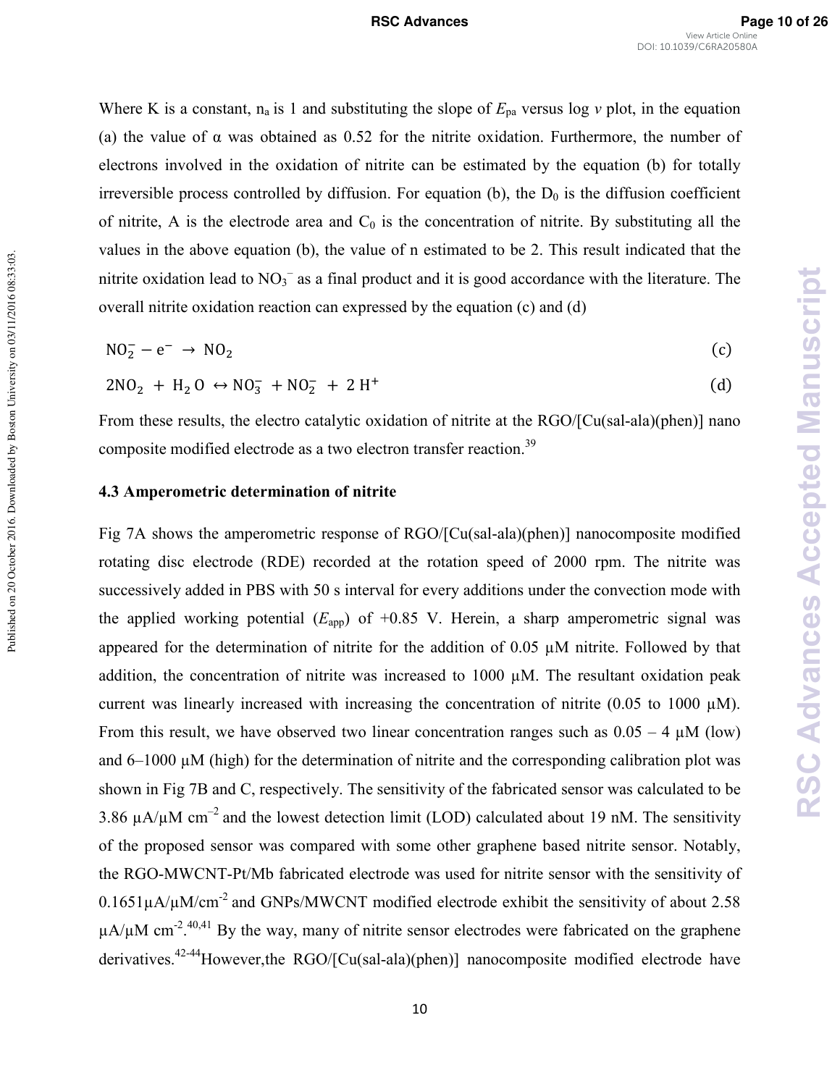Where K is a constant,  $n_a$  is 1 and substituting the slope of  $E_{pa}$  versus log *v* plot, in the equation (a) the value of  $\alpha$  was obtained as 0.52 for the nitrite oxidation. Furthermore, the number of electrons involved in the oxidation of nitrite can be estimated by the equation (b) for totally irreversible process controlled by diffusion. For equation (b), the  $D_0$  is the diffusion coefficient of nitrite, A is the electrode area and  $C_0$  is the concentration of nitrite. By substituting all the values in the above equation (b), the value of n estimated to be 2. This result indicated that the nitrite oxidation lead to  $NO<sub>3</sub><sup>-</sup>$  as a final product and it is good accordance with the literature. The overall nitrite oxidation reaction can expressed by the equation (c) and (d)

$$
NO_2^- - e^- \rightarrow NO_2 \tag{c}
$$

$$
2NO2 + H2O \leftrightarrow NO3- + NO2- + 2 H+
$$
 (d)

From these results, the electro catalytic oxidation of nitrite at the RGO/[Cu(sal-ala)(phen)] nano composite modified electrode as a two electron transfer reaction.<sup>39</sup>

#### **4.3 Amperometric determination of nitrite**

Fig 7A shows the amperometric response of RGO/[Cu(sal-ala)(phen)] nanocomposite modified rotating disc electrode (RDE) recorded at the rotation speed of 2000 rpm. The nitrite was successively added in PBS with 50 s interval for every additions under the convection mode with the applied working potential  $(E_{\text{app}})$  of +0.85 V. Herein, a sharp amperometric signal was appeared for the determination of nitrite for the addition of 0.05 µM nitrite. Followed by that addition, the concentration of nitrite was increased to 1000 µM. The resultant oxidation peak current was linearly increased with increasing the concentration of nitrite (0.05 to 1000  $\mu$ M). From this result, we have observed two linear concentration ranges such as  $0.05 - 4 \mu M$  (low) and 6–1000 µM (high) for the determination of nitrite and the corresponding calibration plot was shown in Fig 7B and C, respectively. The sensitivity of the fabricated sensor was calculated to be 3.86  $\mu$ A/ $\mu$ M cm<sup>-2</sup> and the lowest detection limit (LOD) calculated about 19 nM. The sensitivity of the proposed sensor was compared with some other graphene based nitrite sensor. Notably, the RGO-MWCNT-Pt/Mb fabricated electrode was used for nitrite sensor with the sensitivity of  $0.1651\mu$ A/ $\mu$ M/cm<sup>-2</sup> and GNPs/MWCNT modified electrode exhibit the sensitivity of about 2.58  $\mu$ A/ $\mu$ M cm<sup>-2</sup>.<sup>40,41</sup> By the way, many of nitrite sensor electrodes were fabricated on the graphene derivatives.<sup>42-44</sup>However,the RGO/[Cu(sal-ala)(phen)] nanocomposite modified electrode have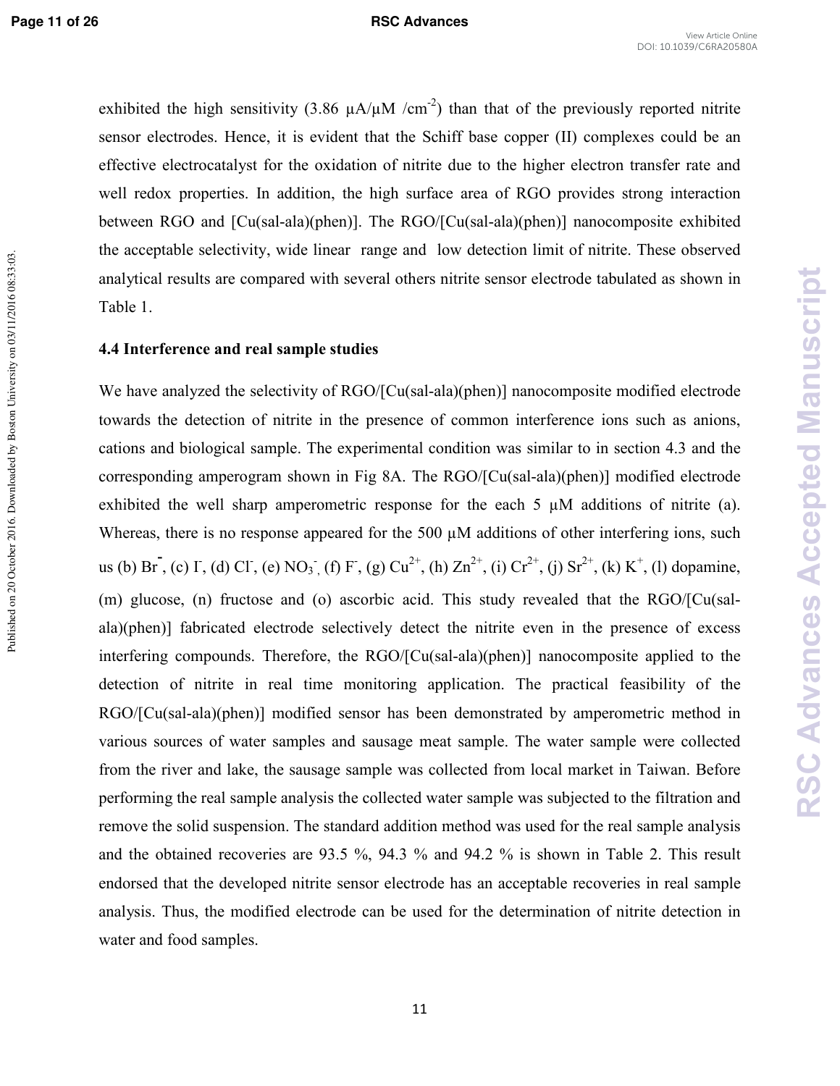Published on 20 October 2016. Downloaded by Boston University on 03/11/2016 08:33:03.

#### **Page 11 of 26 RSC Advances**

exhibited the high sensitivity (3.86  $\mu A/\mu M$  /cm<sup>-2</sup>) than that of the previously reported nitrite sensor electrodes. Hence, it is evident that the Schiff base copper (II) complexes could be an effective electrocatalyst for the oxidation of nitrite due to the higher electron transfer rate and well redox properties. In addition, the high surface area of RGO provides strong interaction between RGO and  $\lceil Cu(sal-ala)(phen) \rceil$ . The RGO/ $\lceil Cu(sal-ala)(phen) \rceil$  nanocomposite exhibited the acceptable selectivity, wide linear range and low detection limit of nitrite. These observed analytical results are compared with several others nitrite sensor electrode tabulated as shown in Table 1.

#### **4.4 Interference and real sample studies**

We have analyzed the selectivity of RGO/[Cu(sal-ala)(phen)] nanocomposite modified electrode towards the detection of nitrite in the presence of common interference ions such as anions, cations and biological sample. The experimental condition was similar to in section 4.3 and the corresponding amperogram shown in Fig 8A. The  $RGO/[Cu(sal-ala)(phen)]$  modified electrode exhibited the well sharp amperometric response for the each 5 µM additions of nitrite (a). Whereas, there is no response appeared for the 500  $\mu$ M additions of other interfering ions, such us (b) Br, (c) I, (d) Cl, (e) NO<sub>3</sub>, (f) F, (g) Cu<sup>2+</sup>, (h) Zn<sup>2+</sup>, (i) Cr<sup>2+</sup>, (j) Sr<sup>2+</sup>, (k) K<sup>+</sup>, (l) dopamine, (m) glucose, (n) fructose and (o) ascorbic acid. This study revealed that the RGO/[Cu(sal ala)(phen)] fabricated electrode selectively detect the nitrite even in the presence of excess interfering compounds. Therefore, the RGO/[Cu(sal-ala)(phen)] nanocomposite applied to the detection of nitrite in real time monitoring application. The practical feasibility of the RGO/[Cu(sal-ala)(phen)] modified sensor has been demonstrated by amperometric method in various sources of water samples and sausage meat sample. The water sample were collected from the river and lake, the sausage sample was collected from local market in Taiwan. Before performing the real sample analysis the collected water sample was subjected to the filtration and remove the solid suspension. The standard addition method was used for the real sample analysis and the obtained recoveries are 93.5 %, 94.3 % and 94.2 % is shown in Table 2. This result endorsed that the developed nitrite sensor electrode has an acceptable recoveries in real sample analysis. Thus, the modified electrode can be used for the determination of nitrite detection in water and food samples.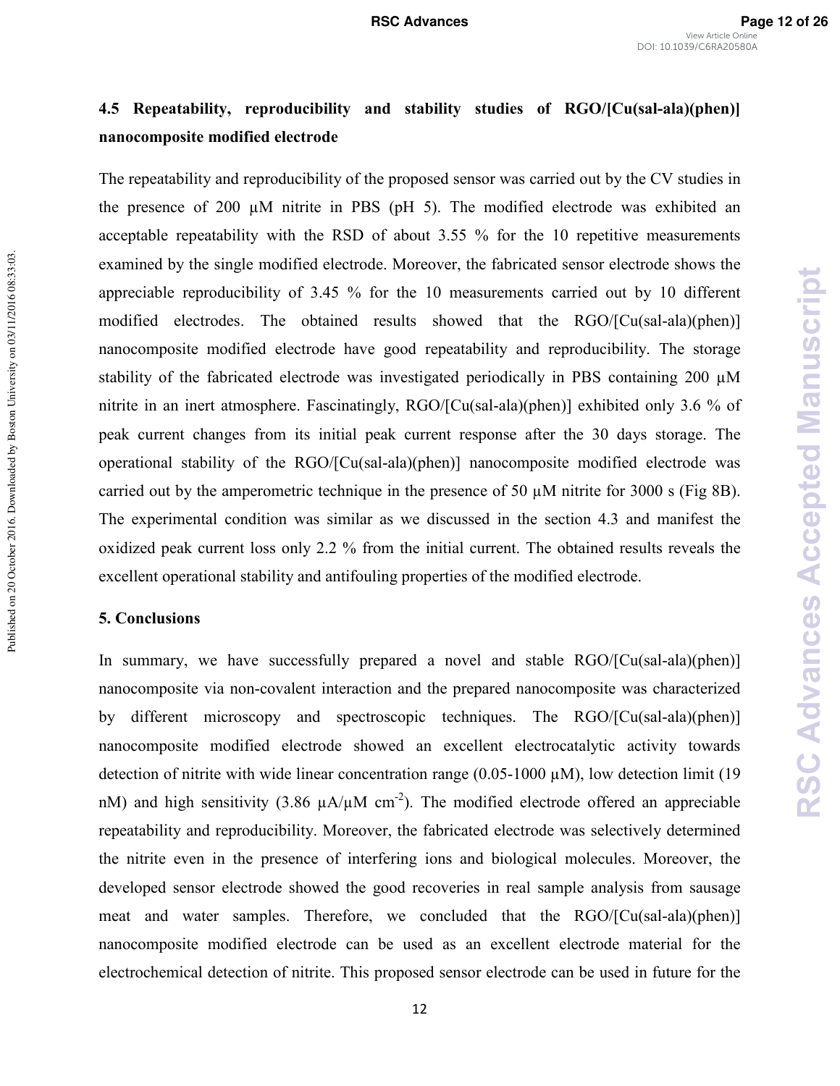# **4.5 Repeatability, reproducibility and stability studies of RGO/[Cu(sal-ala)(phen)] nanocomposite modified electrode**

The repeatability and reproducibility of the proposed sensor was carried out by the CV studies in the presence of 200 µM nitrite in PBS (pH 5). The modified electrode was exhibited an acceptable repeatability with the RSD of about 3.55 % for the 10 repetitive measurements examined by the single modified electrode. Moreover, the fabricated sensor electrode shows the appreciable reproducibility of 3.45 % for the 10 measurements carried out by 10 different modified electrodes. The obtained results showed that the RGO/[Cu(sal-ala)(phen)] nanocomposite modified electrode have good repeatability and reproducibility. The storage stability of the fabricated electrode was investigated periodically in PBS containing 200 µM nitrite in an inert atmosphere. Fascinatingly, RGO/[Cu(sal-ala)(phen)] exhibited only 3.6 % of peak current changes from its initial peak current response after the 30 days storage. The operational stability of the RGO/[Cu(salala)(phen)] nanocomposite modified electrode was carried out by the amperometric technique in the presence of 50 µM nitrite for 3000 s (Fig 8B). The experimental condition was similar as we discussed in the section 4.3 and manifest the oxidized peak current loss only 2.2 % from the initial current. The obtained results reveals the excellent operational stability and antifouling properties of the modified electrode.

#### **5. Conclusions**

Published on 20 October 2016. Downloaded by Boston University on 03/11/2016 08:33:03.

Published on 20 October 2016. Downloaded by Boston University on 03/11/2016 08:33:03.

In summary, we have successfully prepared a novel and stable  $RGO/[Cu(sal-ala)(phen)]$ nanocomposite via non-covalent interaction and the prepared nanocomposite was characterized by different microscopy and spectroscopic techniques. The RGO/[Cu(sal-ala)(phen)] nanocomposite modified electrode showed an excellent electrocatalytic activity towards detection of nitrite with wide linear concentration range  $(0.05-1000 \mu M)$ , low detection limit (19) nM) and high sensitivity (3.86  $\mu$ A/ $\mu$ M cm<sup>-2</sup>). The modified electrode offered an appreciable repeatability and reproducibility. Moreover, the fabricated electrode was selectively determined the nitrite even in the presence of interfering ions and biological molecules. Moreover, the developed sensor electrode showed the good recoveries in real sample analysis from sausage meat and water samples. Therefore, we concluded that the RGO/[Cu(sal-ala)(phen)] nanocomposite modified electrode can be used as an excellent electrode material for the electrochemical detection of nitrite. This proposed sensor electrode can be used in future for the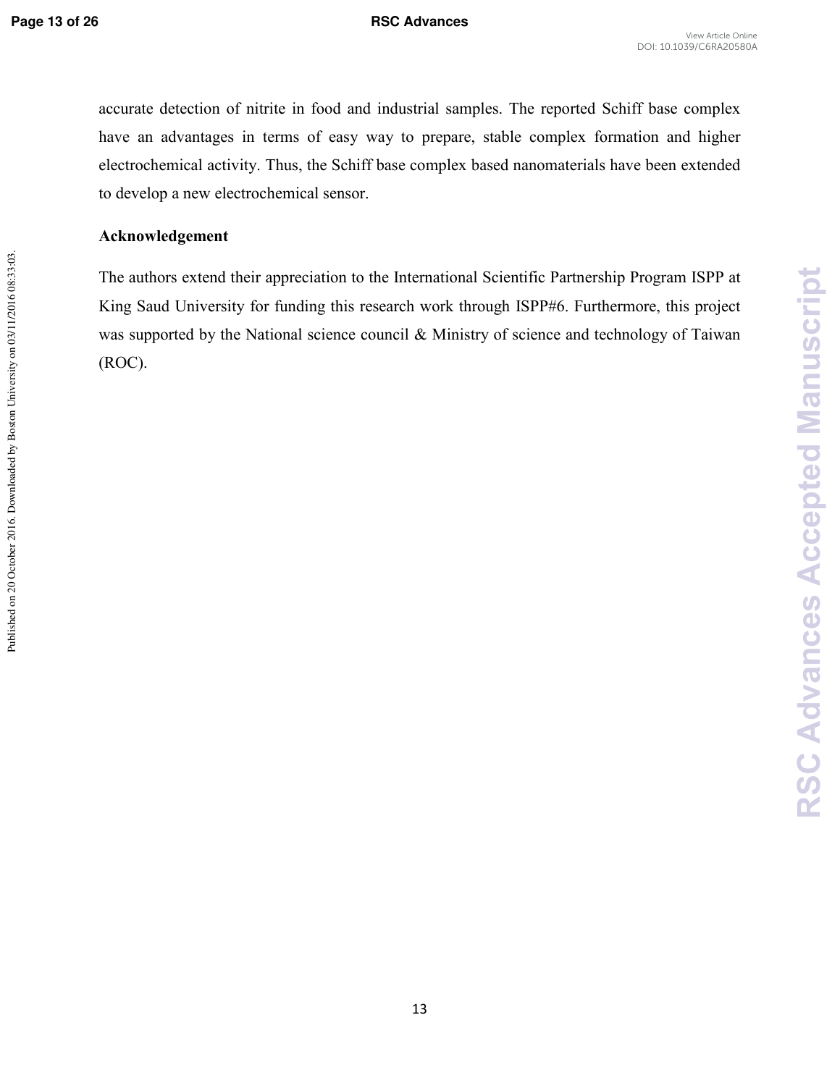**RSC Advances Accepted Manuscript**

**RSC Advances Accepted Manuscript** 

accurate detection of nitrite in food and industrial samples. The reported Schiff base complex have an advantages in terms of easy way to prepare, stable complex formation and higher electrochemical activity. Thus, the Schiff base complex based nanomaterials have been extended to develop a new electrochemical sensor.

#### **Acknowledgement**

The authors extend their appreciation to the International Scientific Partnership Program ISPP at King Saud University for funding this research work through ISPP#6. Furthermore, this project was supported by the National science council & Ministry of science and technology of Taiwan (ROC).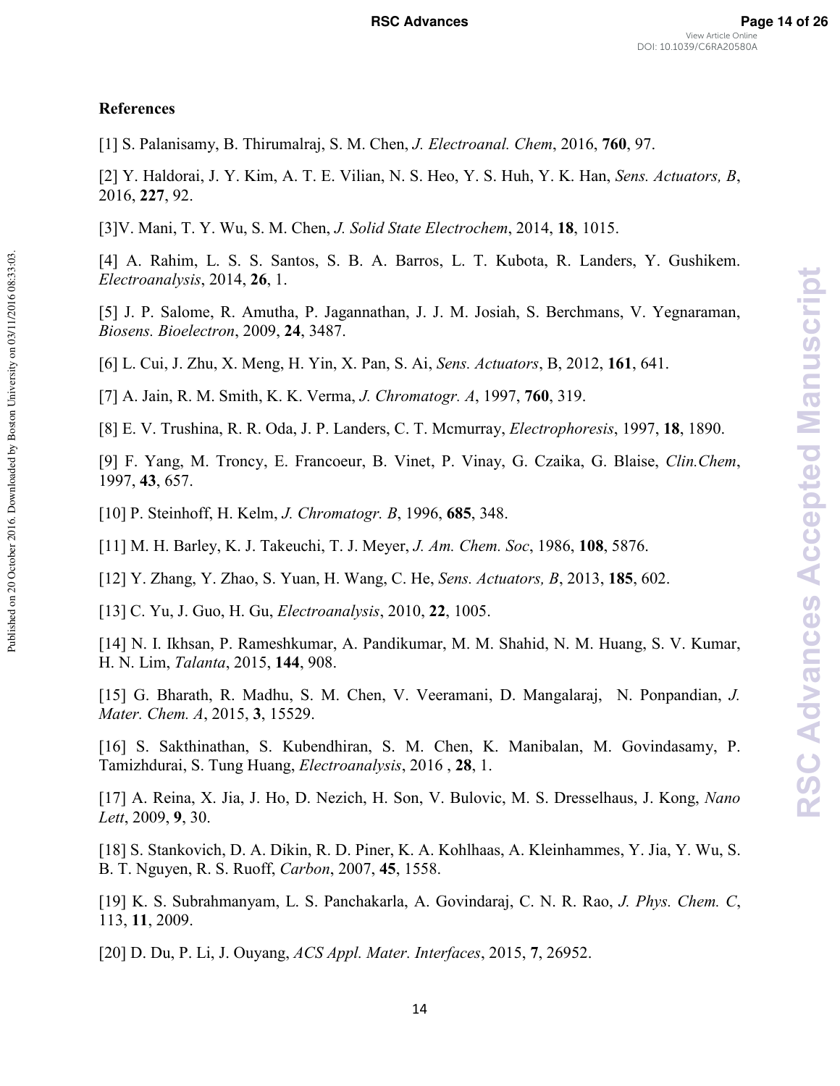#### **References**

[1] S. Palanisamy, B. Thirumalraj, S. M. Chen, *J. Electroanal. Chem*, 2016, **760**, 97.

[2] Y. Haldorai, J. Y. Kim, A. T. E. Vilian, N. S. Heo, Y. S. Huh, Y. K. Han, *Sens. Actuators, B*, 2016, **227**, 92.

[3]V. Mani, T. Y. Wu, S. M. Chen, *J. Solid State Electrochem*, 2014, **18**, 1015.

[4] A. Rahim, L. S. S. Santos, S. B. A. Barros, L. T. Kubota, R. Landers, Y. Gushikem. *Electroanalysis*, 2014, **26**, 1.

[5] J. P. Salome, R. Amutha, P. Jagannathan, J. J. M. Josiah, S. Berchmans, V. Yegnaraman, *Biosens. Bioelectron*, 2009, **24**, 3487.

[6] L. Cui, J. Zhu, X. Meng, H. Yin, X. Pan, S. Ai, *Sens. Actuators*, B, 2012, **161**, 641.

[7] A. Jain, R. M. Smith, K. K. Verma, *J. Chromatogr. A*, 1997, **760**, 319.

[8] E. V. Trushina, R. R. Oda, J. P. Landers, C. T. Mcmurray, *Electrophoresis*, 1997, **18**, 1890.

[9] F. Yang, M. Troncy, E. Francoeur, B. Vinet, P. Vinay, G. Czaika, G. Blaise, *Clin.Chem*, 1997, **43**, 657.

[10] P. Steinhoff, H. Kelm, *J. Chromatogr. B*, 1996, **685**, 348.

[11] M. H. Barley, K. J. Takeuchi, T. J. Meyer, *J. Am. Chem. Soc*, 1986, **108**, 5876.

[12] Y. Zhang, Y. Zhao, S. Yuan, H. Wang, C. He, *Sens. Actuators, B*, 2013, **185**, 602.

[13] C. Yu, J. Guo, H. Gu, *Electroanalysis*, 2010, **22**, 1005.

[14] N. I. Ikhsan, P. Rameshkumar, A. Pandikumar, M. M. Shahid, N. M. Huang, S. V. Kumar, H. N. Lim, *Talanta*, 2015, **144**, 908.

[15] G. Bharath, R. Madhu, S. M. Chen, V. Veeramani, D. Mangalaraj, N. Ponpandian, *J. Mater. Chem. A*, 2015, **3**, 15529.

[16] S. Sakthinathan, S. Kubendhiran, S. M. Chen, K. Manibalan, M. Govindasamy, P. Tamizhdurai, S. Tung Huang, *Electroanalysis*, 2016 , **28**, 1.

[17] A. Reina, X. Jia, J. Ho, D. Nezich, H. Son, V. Bulovic, M. S. Dresselhaus, J. Kong, *Nano Lett*, 2009, **9**, 30.

[18] S. Stankovich, D. A. Dikin, R. D. Piner, K. A. Kohlhaas, A. Kleinhammes, Y. Jia, Y. Wu, S. B. T. Nguyen, R. S. Ruoff, *Carbon*, 2007, **45**, 1558.

[19] K. S. Subrahmanyam, L. S. Panchakarla, A. Govindaraj, C. N. R. Rao, *J. Phys. Chem. C*, 113, **11**, 2009.

[20] D. Du, P. Li, J. Ouyang, *ACS Appl. Mater. Interfaces*, 2015, **7**, 26952.

Published on 20 October 2016. Downloaded by Boston University on 03/11/2016 08:33:03.

Published on 20 October 2016. Downloaded by Boston University on 03/11/2016 08:33:03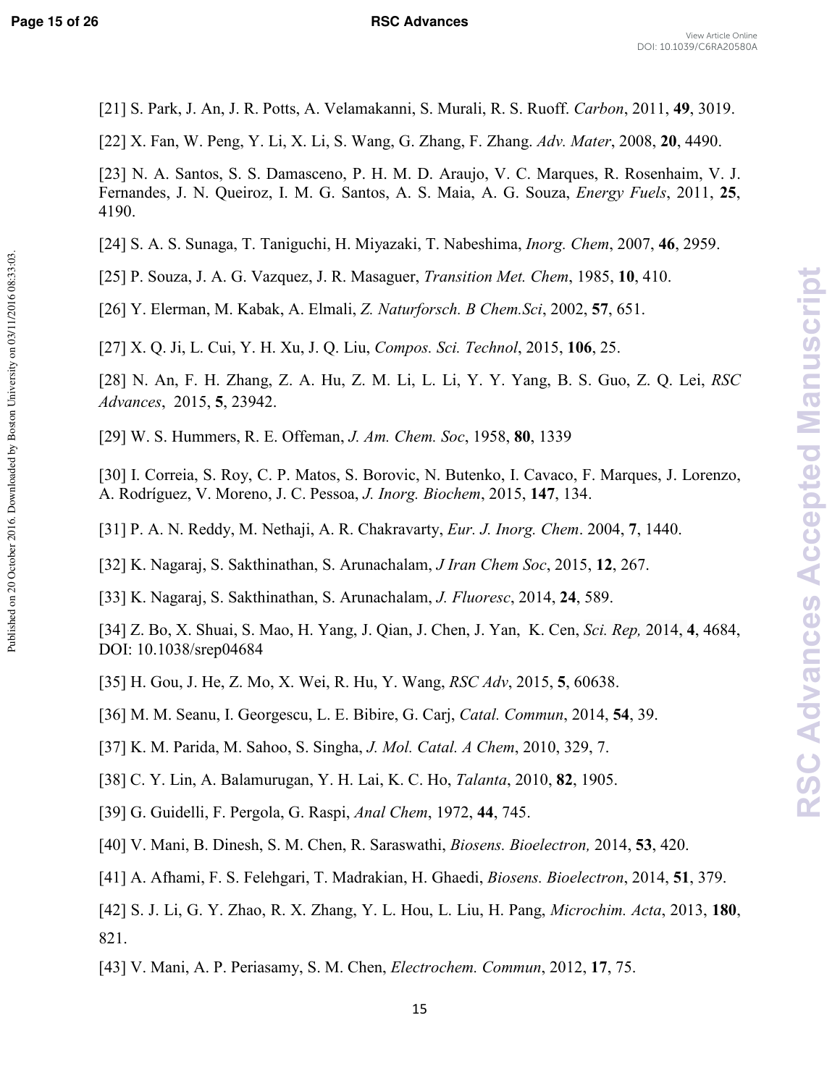Published on 20 October 2016. Downloaded by Boston University on 03/11/2016 08:33:03.

#### **Page 15 of 26 RSC Advances**

- [21] S. Park, J. An, J. R. Potts, A. Velamakanni, S. Murali, R. S. Ruoff. *Carbon*, 2011, **49**, 3019.
- [22] X. Fan, W. Peng, Y. Li, X. Li, S. Wang, G. Zhang, F. Zhang. *Adv. Mater*, 2008, **20**, 4490.

- [24] S. A. S. Sunaga, T. Taniguchi, H. Miyazaki, T. Nabeshima, *Inorg. Chem*, 2007, **46**, 2959.
- [25] P. Souza, J. A. G. Vazquez, J. R. Masaguer, *Transition Met. Chem*, 1985, **10**, 410.
- [26] Y. Elerman, M. Kabak, A. Elmali, *Z. Naturforsch. B Chem.Sci*, 2002, **57**, 651.

[27] X. Q. Ji, L. Cui, Y. H. Xu, J. Q. Liu, *Compos. Sci. Technol*, 2015, **106**, 25.

- [28] N. An, F. H. Zhang, Z. A. Hu, Z. M. Li, L. Li, Y. Y. Yang, B. S. Guo, Z. Q. Lei, *RSC Advances*, 2015, **5**, 23942.
- [29] W. S. Hummers, R. E. Offeman, *J. Am. Chem. Soc*, 1958, **80**, 1339
- [30] I. Correia, S. Roy, C. P. Matos, S. Borovic, N. Butenko, I. Cavaco, F. Marques, J. Lorenzo, A. Rodríguez, V. Moreno, J. C. Pessoa, *J. Inorg. Biochem*, 2015, **147**, 134.
- [31] P. A. N. Reddy, M. Nethaji, A. R. Chakravarty, *Eur. J. Inorg. Chem*. 2004, **7**, 1440.
- [32] K. Nagaraj, S. Sakthinathan, S. Arunachalam, *J Iran Chem Soc*, 2015, **12**, 267.
- [33] K. Nagaraj, S. Sakthinathan, S. Arunachalam, *J. Fluoresc*, 2014, **24**, 589.
- [34] Z. Bo, X. Shuai, S. Mao, H. Yang, J. Qian, J. Chen, J. Yan, K. Cen, *Sci. Rep,* 2014, **4**, 4684, DOI: 10.1038/srep04684
- [35] H. Gou, J. He, Z. Mo, X. Wei, R. Hu, Y. Wang, *RSC Adv*, 2015, **5**, 60638.
- [36] M. M. Seanu, I. Georgescu, L. E. Bibire, G. Carj, *Catal. Commun*, 2014, **54**, 39.
- [37] K. M. Parida, M. Sahoo, S. Singha, *J. Mol. Catal. A Chem*, 2010, 329, 7.
- [38] C. Y. Lin, A. Balamurugan, Y. H. Lai, K. C. Ho, *Talanta*, 2010, **82**, 1905.
- [39] G. Guidelli, F. Pergola, G. Raspi, *Anal Chem*, 1972, **44**, 745.
- [40] V. Mani, B. Dinesh, S. M. Chen, R. Saraswathi, *Biosens. Bioelectron,* 2014, **53**, 420.
- [41] A. Afhami, F. S. Felehgari, T. Madrakian, H. Ghaedi, *Biosens. Bioelectron*, 2014, **51**, 379.
- [42] S. J. Li, G. Y. Zhao, R. X. Zhang, Y. L. Hou, L. Liu, H. Pang, *Microchim. Acta*, 2013, **180**, 821.
- [43] V. Mani, A. P. Periasamy, S. M. Chen, *Electrochem. Commun*, 2012, **17**, 75.

<sup>[23]</sup> N. A. Santos, S. S. Damasceno, P. H. M. D. Araujo, V. C. Marques, R. Rosenhaim, V. J. Fernandes, J. N. Queiroz, I. M. G. Santos, A. S. Maia, A. G. Souza, *Energy Fuels*, 2011, **25**, 4190.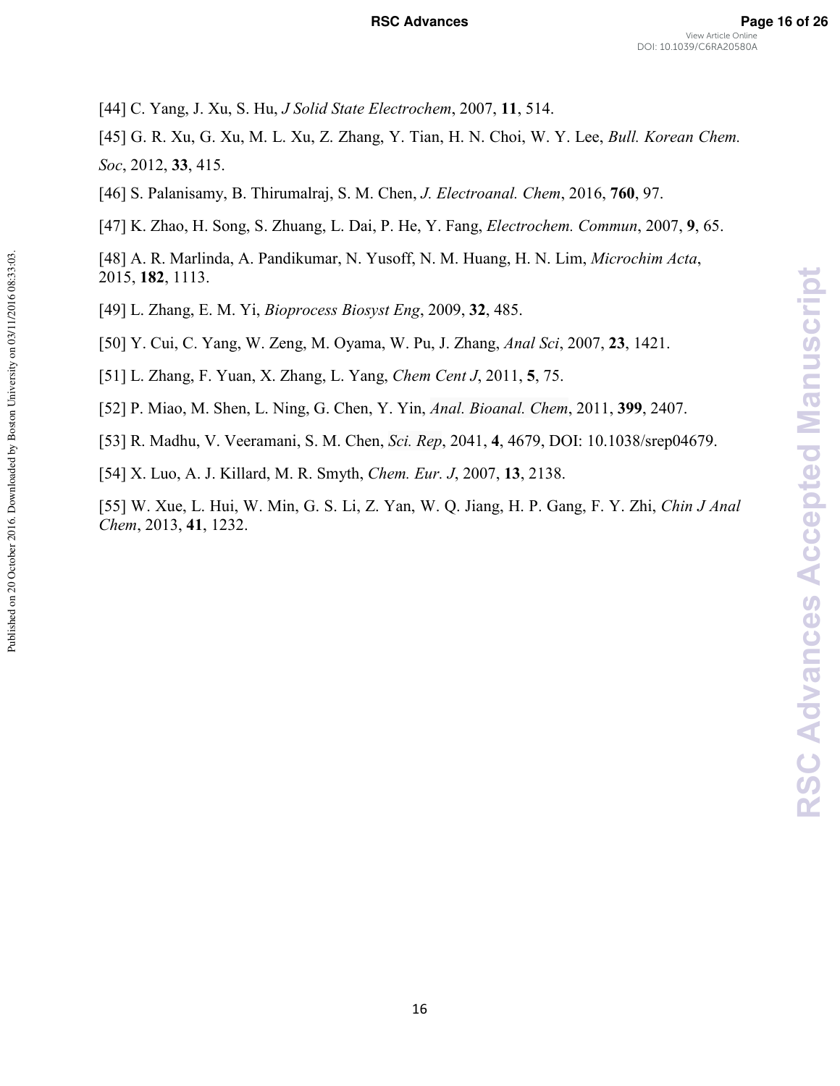#### **RSC Advances Page 16 of 26**

[44] C. Yang, J. Xu, S. Hu, *J Solid State Electrochem*, 2007, **11**, 514.

[45] G. R. Xu, G. Xu, M. L. Xu, Z. Zhang, Y. Tian, H. N. Choi, W. Y. Lee, *Bull. Korean Chem. Soc*, 2012, **33**, 415.

[46] S. Palanisamy, B. Thirumalraj, S. M. Chen, *J. Electroanal. Chem*, 2016, **760**, 97.

[47] K. Zhao, H. Song, S. Zhuang, L. Dai, P. He, Y. Fang, *Electrochem. Commun*, 2007, **9**, 65.

[48] A. R. Marlinda, A. Pandikumar, N. Yusoff, N. M. Huang, H. N. Lim, *Microchim Acta*, 2015, **182**, 1113.

[49] L. Zhang, E. M. Yi, *Bioprocess Biosyst Eng*, 2009, **32**, 485.

[50] Y. Cui, C. Yang, W. Zeng, M. Oyama, W. Pu, J. Zhang, *Anal Sci*, 2007, **23**, 1421.

[51] L. Zhang, F. Yuan, X. Zhang, L. Yang, *Chem Cent J*, 2011, **5**, 75.

[52] P. Miao, M. Shen, L. Ning, G. Chen, Y. Yin, *Anal. Bioanal. Chem*, 2011, **399**, 2407.

[53] R. Madhu, V. Veeramani, S. M. Chen, *Sci. Rep*, 2041, **4**, 4679, DOI: 10.1038/srep04679.

[54] X. Luo, A. J. Killard, M. R. Smyth, *Chem. Eur. J*, 2007, **13**, 2138.

Published on 20 October 2016. Downloaded by Boston University on 03/11/2016 08:33:03.

Published on 20 October 2016. Downloaded by Boston University on 03/11/2016 08:33:03.

[55] W. Xue, L. Hui, W. Min, G. S. Li, Z. Yan, W. Q. Jiang, H. P. Gang, F. Y. Zhi, *Chin J Anal Chem*, 2013, **41**, 1232.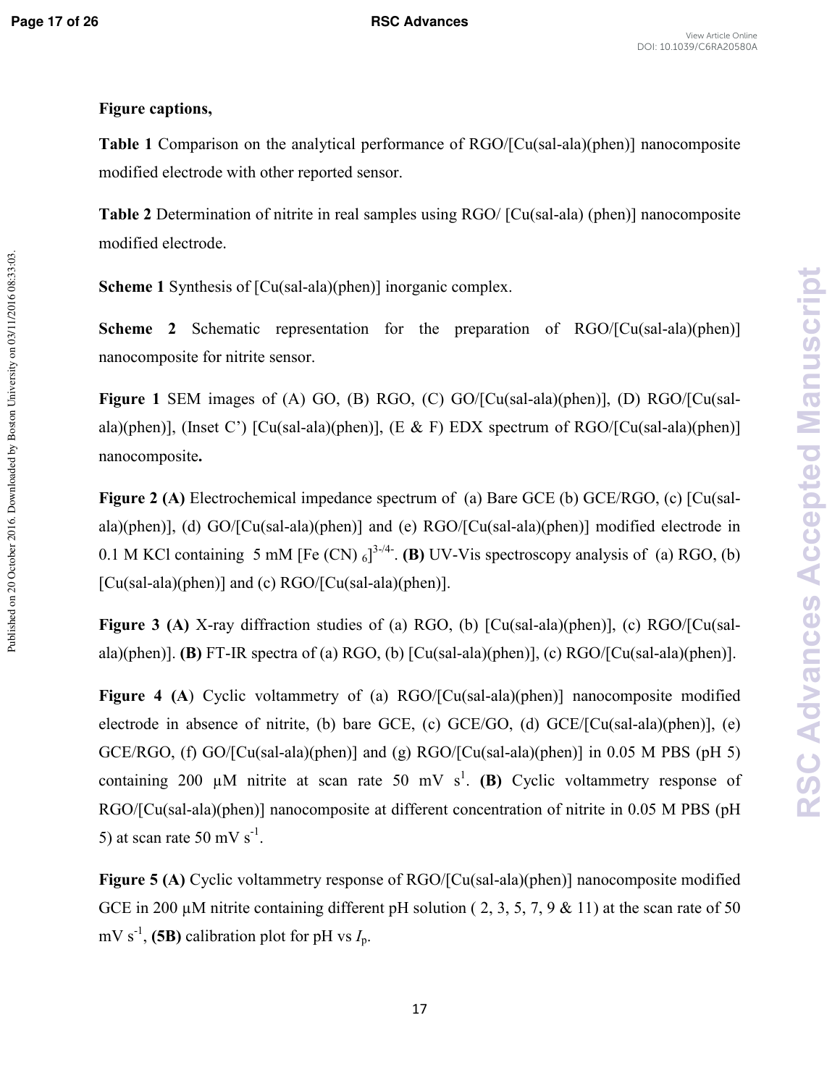Published on 20 October 2016. Downloaded by Boston University on 03/11/2016 08:33:03.

#### **Figure captions,**

**Table 1** Comparison on the analytical performance of RGO/[Cu(sal-ala)(phen)] nanocomposite modified electrode with other reported sensor.

**Table 2** Determination of nitrite in real samples using RGO/ [Cu(sal-ala) (phen)] nanocomposite modified electrode.

**Scheme 1** Synthesis of [Cu(sal-ala)(phen)] inorganic complex.

**Scheme 2** Schematic representation for the preparation of RGO/[Cu(sal-ala)(phen)] nanocomposite for nitrite sensor.

**Figure 1** SEM images of (A) GO, (B) RGO, (C) GO/[Cu(sal-ala)(phen)], (D) RGO/[Cu(salala)(phen)], (Inset C') [Cu(sal-ala)(phen)], (E & F) EDX spectrum of RGO/[Cu(sal-ala)(phen)] nanocomposite**.** 

**Figure 2 (A)** Electrochemical impedance spectrum of (a) Bare GCE (b) GCE/RGO, (c) [Cu(salala)(phen)], (d) GO/[Cu(sal-ala)(phen)] and (e) RGO/[Cu(sal-ala)(phen)] modified electrode in 0.1 M KCl containing 5 mM [Fe (CN)  $_6$ ]<sup>3-/4</sup>. (B) UV-Vis spectroscopy analysis of (a) RGO, (b)  $[Cu(sal-ala)(phen)]$  and (c)  $RGO/[Cu(sal-ala)(phen)].$ 

**Figure 3 (A)** X-ray diffraction studies of (a) RGO, (b) [Cu(sal-ala)(phen)], (c) RGO/[Cu(salala)(phen)]. **(B)** FT-IR spectra of (a) RGO, (b)  $[Cu(sal-ala)(phen)]$ , (c) RGO/ $[Cu(sal-ala)(phen)]$ .

**Figure 4 (A)** Cyclic voltammetry of (a) RGO/[Cu(sal-ala)(phen)] nanocomposite modified electrode in absence of nitrite, (b) bare GCE, (c)  $GCE/GO$ , (d)  $GCE/[Cu(sal-ala)(phen)]$ , (e) GCE/RGO, (f) GO/[Cu(sal-ala)(phen)] and (g) RGO/[Cu(sal-ala)(phen)] in 0.05 M PBS (pH 5) containing 200  $\mu$ M nitrite at scan rate 50 mV s<sup>1</sup>. (B) Cyclic voltammetry response of RGO/[Cu(sal-ala)(phen)] nanocomposite at different concentration of nitrite in 0.05 M PBS (pH) 5) at scan rate 50 mV  $s^{-1}$ .

**Figure 5 (A)** Cyclic voltammetry response of RGO/[Cu(sal-ala)(phen)] nanocomposite modified GCE in 200  $\mu$ M nitrite containing different pH solution (2, 3, 5, 7, 9 & 11) at the scan rate of 50 mV s<sup>-1</sup>, (5B) calibration plot for pH vs  $I_p$ .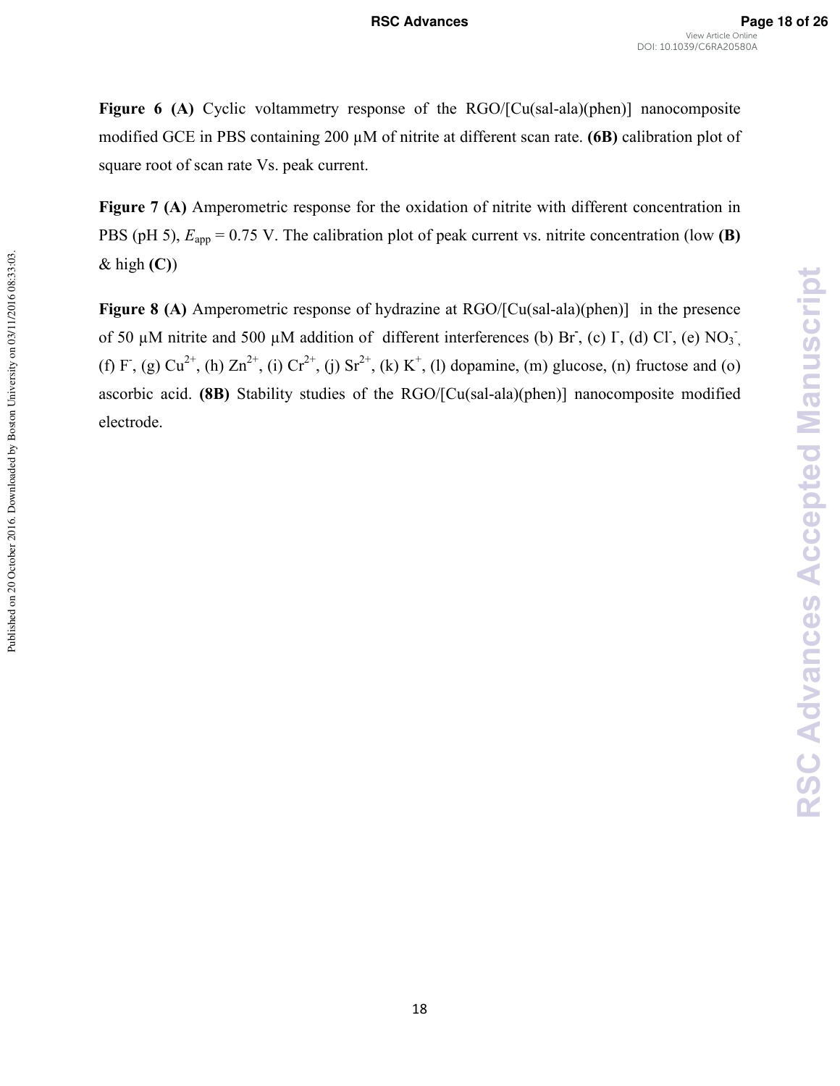**Figure 6 (A)** Cyclic voltammetry response of the RGO/[Cu(sal-ala)(phen)] nanocomposite modified GCE in PBS containing 200 µM of nitrite at different scan rate. **(6B)** calibration plot of square root of scan rate Vs. peak current.

**Figure 7 (A)** Amperometric response for the oxidation of nitrite with different concentration in PBS (pH 5),  $E_{app} = 0.75$  V. The calibration plot of peak current vs. nitrite concentration (low **(B)** & high **(C)**)

**Figure 8 (A)** Amperometric response of hydrazine at RGO/[Cu(sal-ala)(phen)] in the presence of 50  $\mu$ M nitrite and 500  $\mu$ M addition of different interferences (b) Br, (c) I, (d) Cl, (e) NO<sub>3</sub>, (f) F, (g)  $Cu^{2+}$ , (h)  $Zn^{2+}$ , (i)  $Cr^{2+}$ , (j)  $Sr^{2+}$ , (k) K<sup>+</sup>, (l) dopamine, (m) glucose, (n) fructose and (o) ascorbic acid. (8B) Stability studies of the RGO/[Cu(sal-ala)(phen)] nanocomposite modified electrode.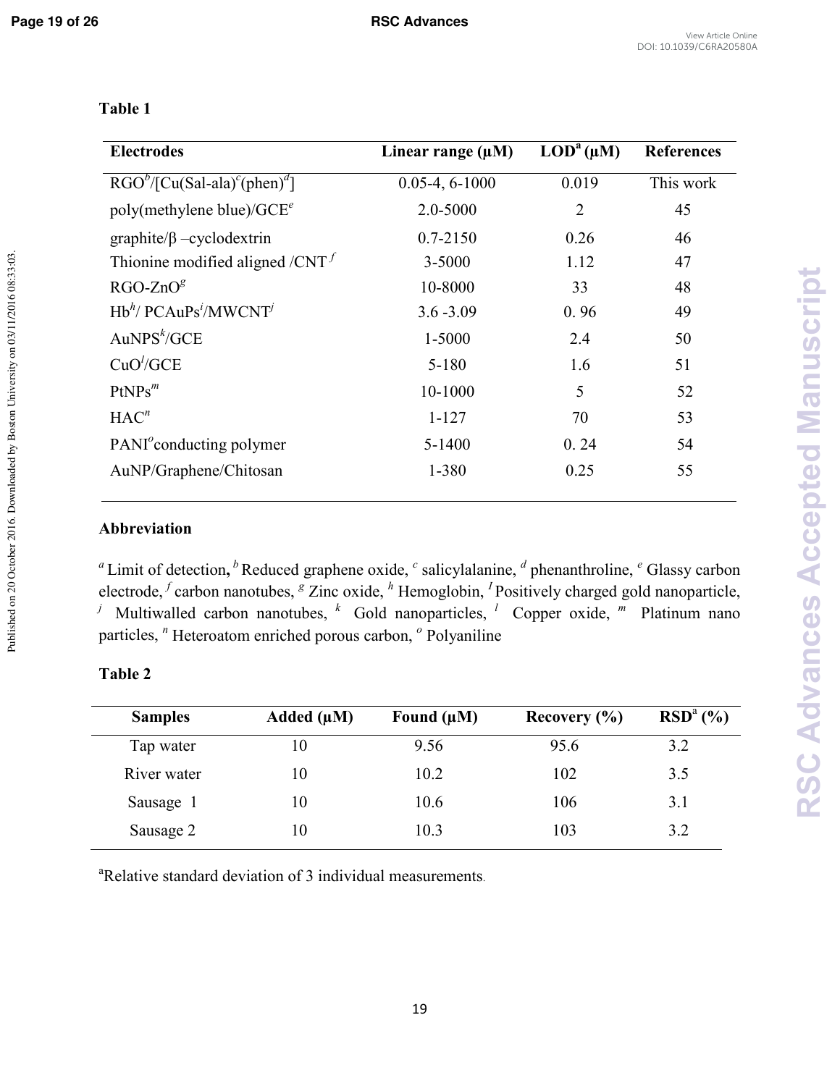Published on 20 October 2016. Downloaded by Boston University on 03/11/2016 08:33:03.

### **Table 1**

| <b>Electrodes</b>                                                | Linear range $(\mu M)$ | $\text{LOD}^{a}(\mu M)$ | <b>References</b> |
|------------------------------------------------------------------|------------------------|-------------------------|-------------------|
| $RGOb/[Cu(Sal-ala)c(phen)d]$                                     | $0.05-4, 6-1000$       | 0.019                   | This work         |
| poly(methylene blue)/ $GCE^e$                                    | 2.0-5000               | $\overline{2}$          | 45                |
| $graphite/\beta$ -cyclodextrin                                   | $0.7 - 2150$           | 0.26                    | 46                |
| Thionine modified aligned / $CNT$                                | 3-5000                 | 1.12                    | 47                |
| $RGO-ZnOg$                                                       | 10-8000                | 33                      | 48                |
| $Hb^{h}$ / PCAuPs <sup><i>i</i></sup> /MWCNT <sup><i>j</i></sup> | $3.6 - 3.09$           | 0.96                    | 49                |
| AuNPS <sup>k</sup> /GCE                                          | 1-5000                 | 2.4                     | 50                |
| CuO'/GCE                                                         | $5 - 180$              | 1.6                     | 51                |
| $PtNPs^m$                                                        | 10-1000                | 5                       | 52                |
| HAC <sup>n</sup>                                                 | $1 - 127$              | 70                      | 53                |
| PANI <sup>o</sup> conducting polymer                             | 5-1400                 | 0.24                    | 54                |
| AuNP/Graphene/Chitosan                                           | 1-380                  | 0.25                    | 55                |

## **Abbreviation**

<sup>*a*</sup> Limit of detection, <sup>*b*</sup> Reduced graphene oxide, <sup>*c*</sup> salicylalanine, <sup>*d*</sup> phenanthroline, <sup>*e*</sup> Glassy carbon electrode, <sup>f</sup> carbon nanotubes, <sup>g</sup> Zinc oxide, <sup>h</sup> Hemoglobin, <sup>I</sup> Positively charged gold nanoparticle, <sup>*j*</sup> Multiwalled carbon nanotubes, <sup>*k*</sup> Gold nanoparticles, <sup>*l*</sup> Copper oxide, <sup>*m*</sup> Platinum nano particles, *<sup>n</sup>* Heteroatom enriched porous carbon, *<sup>o</sup>* Polyaniline

| <b>Samples</b> | Added $(\mu M)$ | Found $(\mu M)$ | Recovery $(\% )$ | $RSDa(\%)$ |
|----------------|-----------------|-----------------|------------------|------------|
| Tap water      | 10              | 9.56            | 95.6             | 3.2        |
| River water    | 10              | 10.2            | 102              | 3.5        |
| Sausage 1      | 10              | 10.6            | 106              | 3.1        |
| Sausage 2      | 10              | 10.3            | 103              | 3.2        |

### **Table 2**

<sup>a</sup>Relative standard deviation of 3 individual measurements.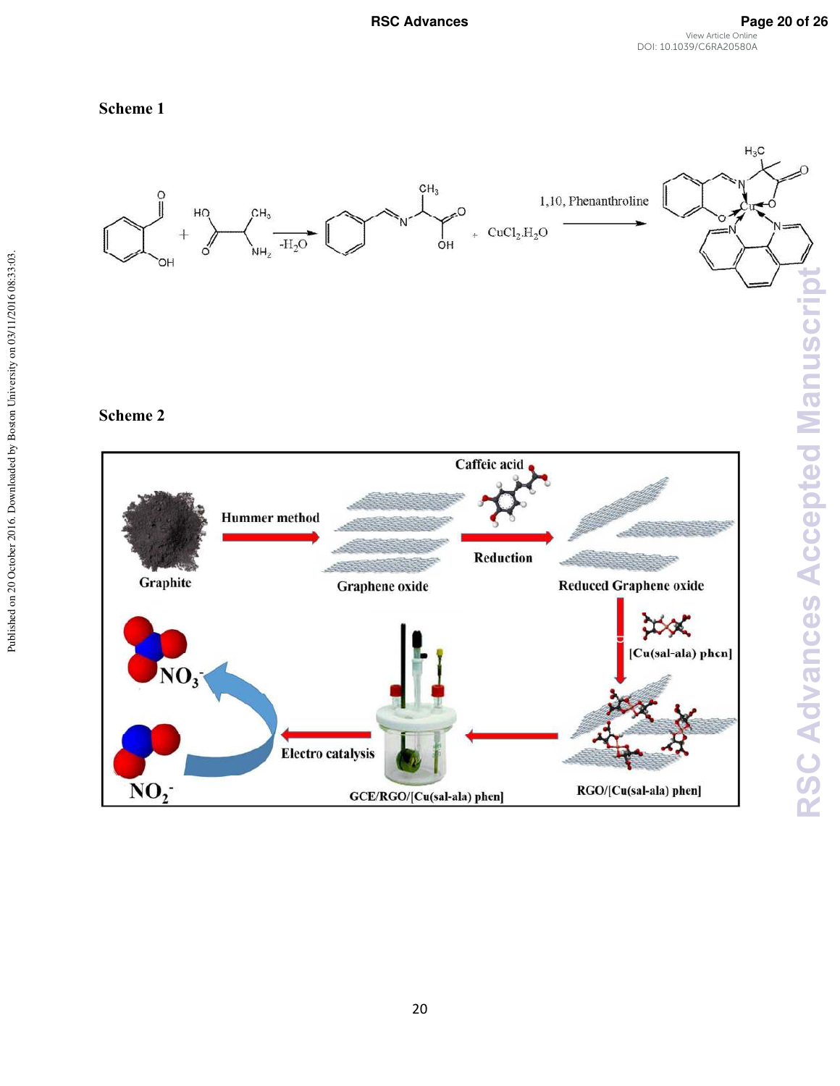RSC Advances **Page 20 of 26** View Article Online DOI: 10.1039/C6RA20580A

#### **Scheme 1**



#### **Scheme 2**

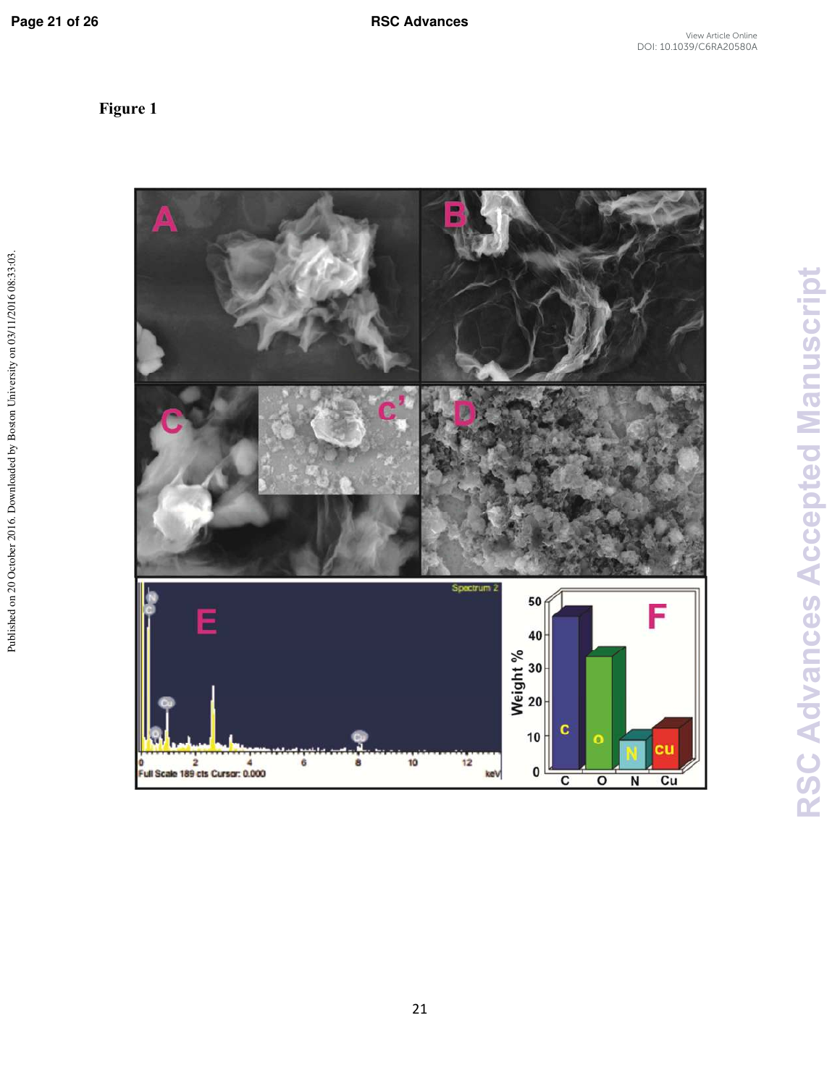**Figure 1** 

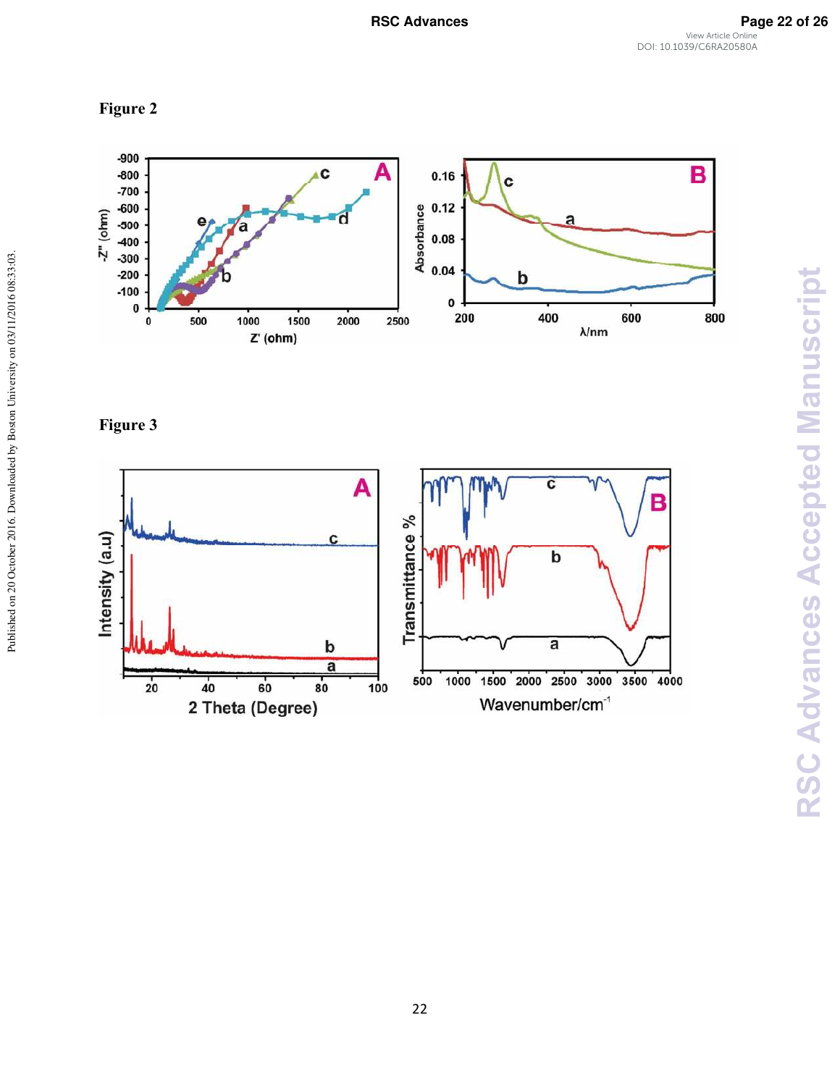





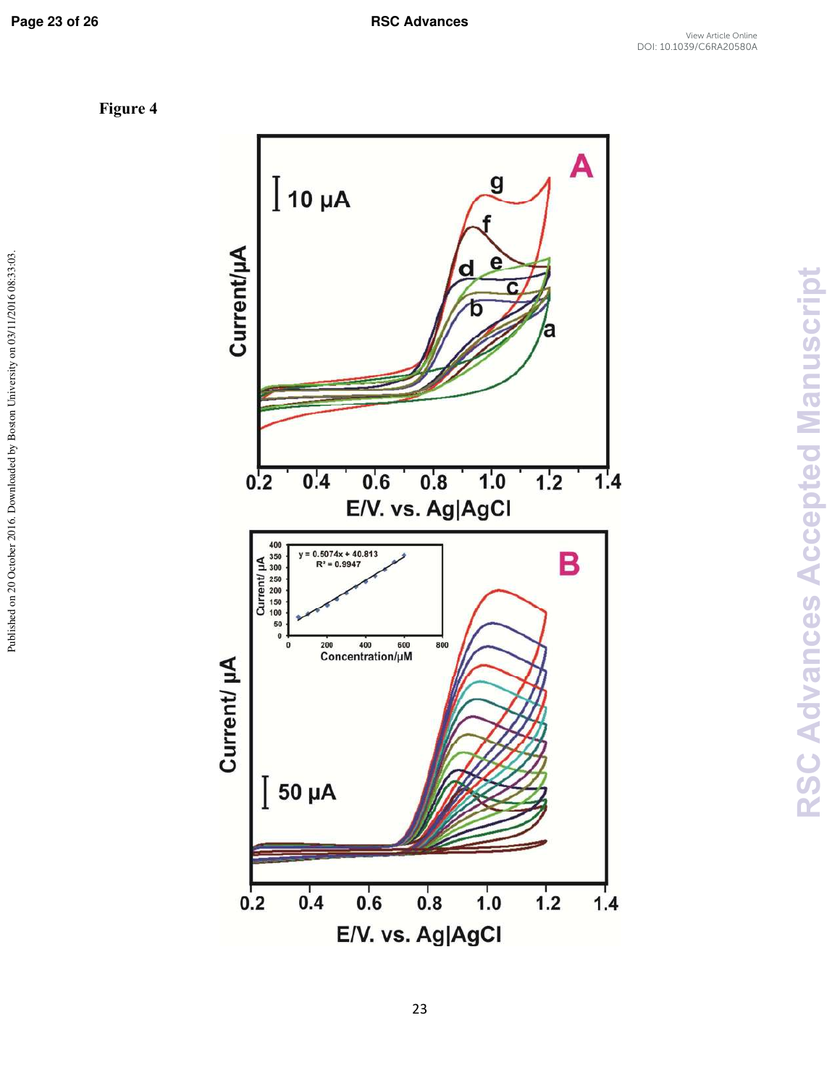Published on 20 October 2016. Downloaded by Boston University on 03/11/2016 08:33:03.

**Figure 4** 

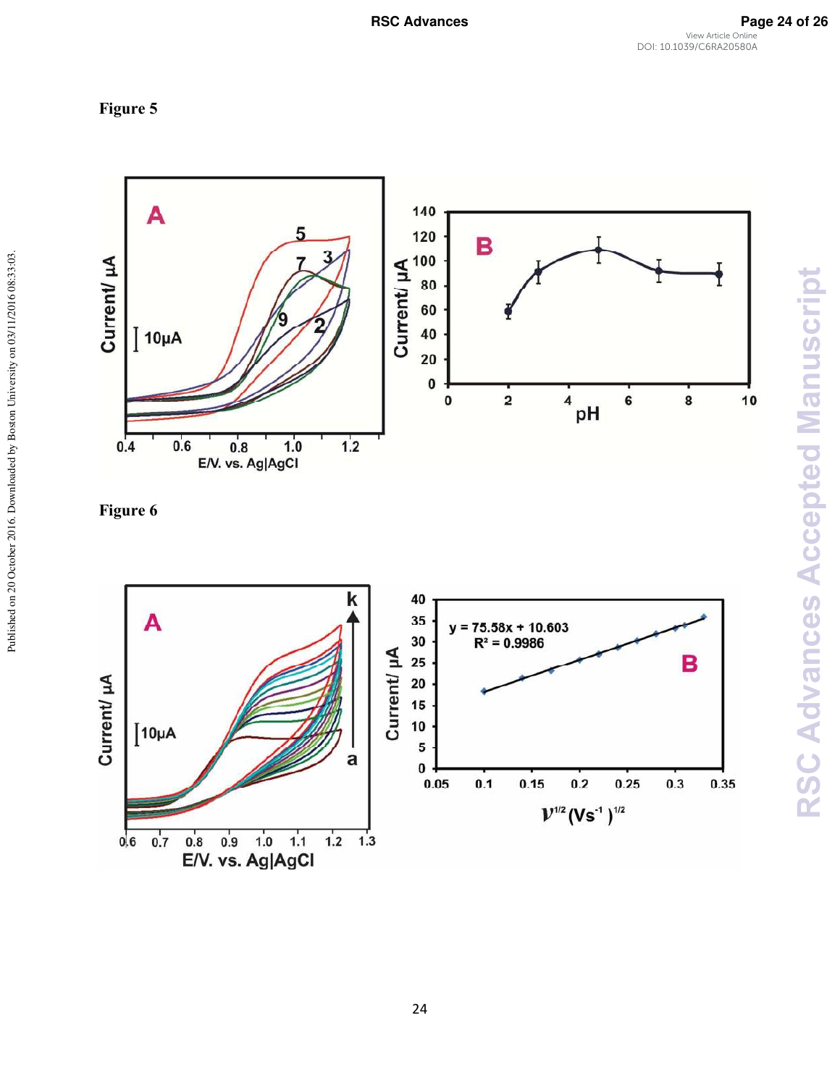





Published on 20 October 2016. Downloaded by Boston University on 03/11/2016 08:33:03.

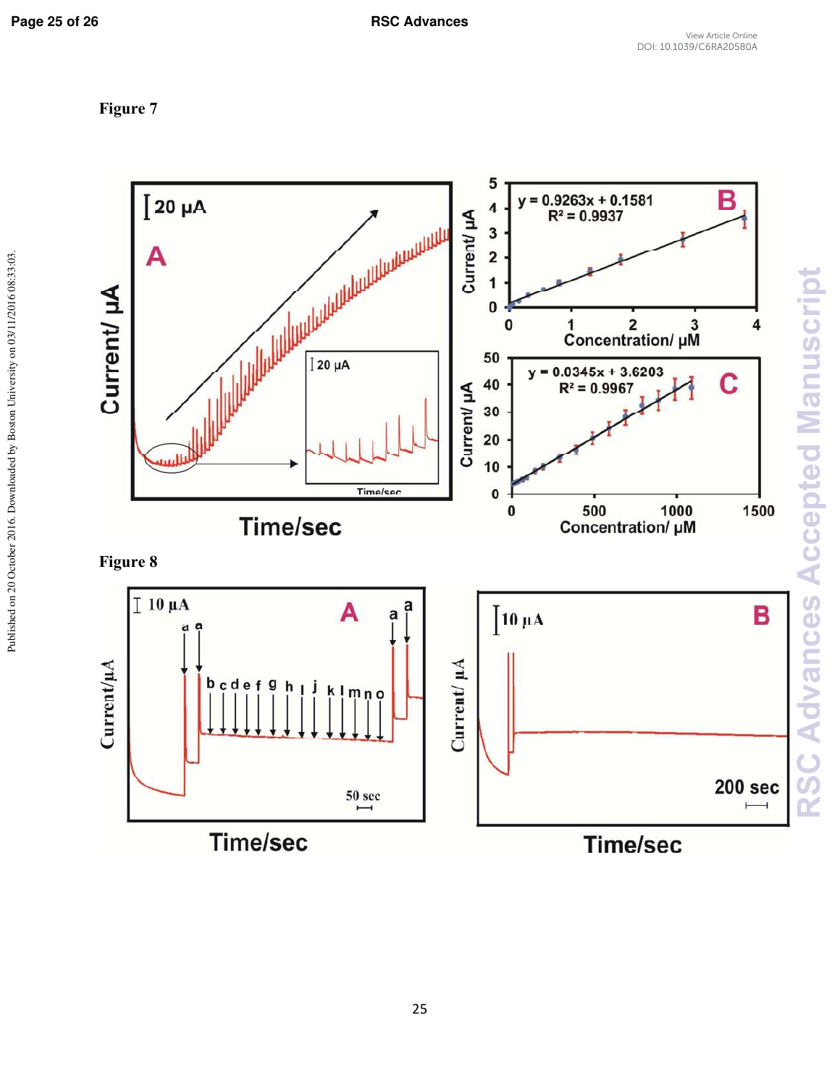